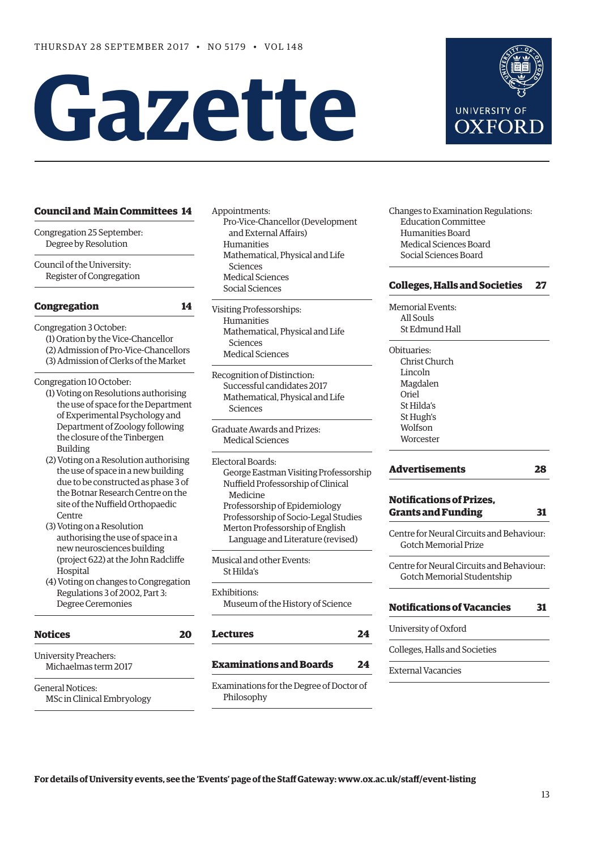# Gazette



| Congregation 25 September: |  |
|----------------------------|--|
| Degree by Resolution       |  |

Council of the University: Register of Congregation

# **[Congregation 14](#page-1-0)**

Congregation 3 October:

(1) Oration by the Vice-Chancellor (2) Admission of Pro-Vice-Chancellors (3) Admission of Clerks of the Market

Congregation 10 October:

- (1) Voting on Resolutions authorising the use of space for the Department of Experimental Psychology and Department of Zoology following the closure of the Tinbergen Building
- (2) Voting on a Resolution authorising the use of space in a new building due to be constructed as phase 3 of the Botnar Research Centre on the site of the Nuffield Orthopaedic Centre
- (3) Voting on a Resolution authorising the use of space in a new neurosciences building (project 622) at the John Radclife Hospital
- (4) Voting on changes to Congregation Regulations 3 of 2002, Part 3: Degree Ceremonies

| <b>Notices</b>                                       |  |
|------------------------------------------------------|--|
| <b>University Preachers:</b><br>Michaelmas term 2017 |  |
| General Notices:<br>MSc in Clinical Embryology       |  |

- Appointments: Pro-Vice-Chancellor (Development and External Affairs) Humanities Mathematical, Physical and Life Sciences Medical Sciences Social Sciences
- Visiting Professorships: Humanities Mathematical, Physical and Life Sciences Medical Sciences

Recognition of Distinction: Successful candidates 2017 Mathematical, Physical and Life Sciences

Graduate Awards and Prizes: Medical Sciences

Electoral Boards: George Eastman Visiting Professorship Nuffield Professorship of Clinical Medicine Professorship of Epidemiology Professorship of Socio-Legal Studies Merton Professorship of English Language and Literature (revised)

Musical and other Events: St Hilda's

# Exhibitions:

Museum of the History of Science

# **[Lectures 24](#page-11-0)**

# **[Examinations and Boards 24](#page-11-0)**

Examinations for the Degree of Doctor of Philosophy

Changes to Examination Regulations: Education Committee Humanities Board Medical Sciences Board Social Sciences Board

**UNIVERSITY OF** OXFORI

# **[Colleges, Halls and Societies 27](#page-14-0)**

Memorial Events: All Souls St Edmund Hall

Obituaries: Christ Church Lincoln Magdalen Oriel St Hilda's St Hugh's Wolfson **Worcester** 

# **[Advertisements 28](#page-15-0)**

# **Notifcations of Prizes, [Grants and Funding 31](#page-18-0)**

Centre for Neural Circuits and Behaviour: Gotch Memorial Prize

Centre for Neural Circuits and Behaviour: Gotch Memorial Studentship

# **[Notifcations of Vacancies 31](#page-18-0)**

University of Oxford

Colleges, Halls and Societies

External Vacancies



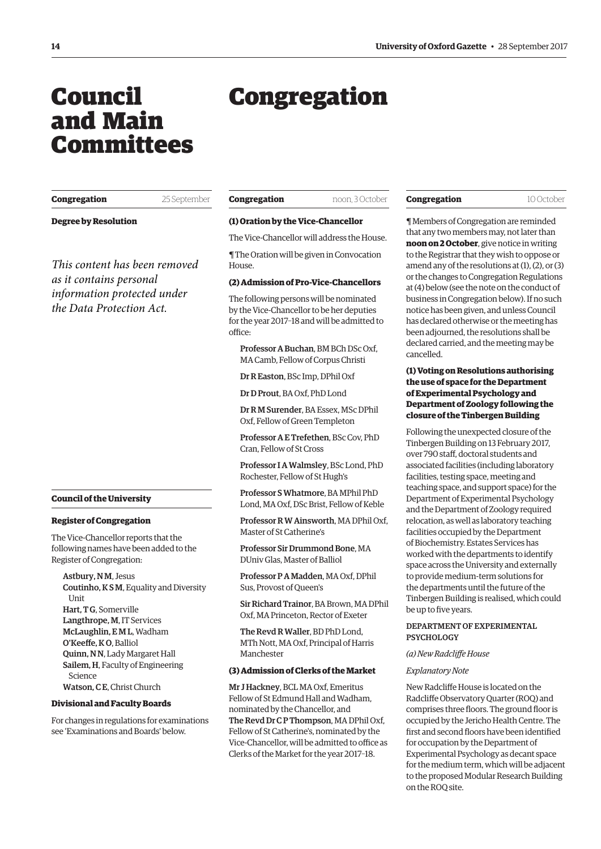# <span id="page-1-0"></span>Council and Main Committees

# Congregation

| Congregation |
|--------------|
|--------------|

**Congregation** 25 September

**Degree by Resolution**

*This content has been removed as it contains personal information protected under the Data Protection Act.*

#### **Council of the University**

#### **Register of Congregation**

The Vice-Chancellor reports that the following names have been added to the Register of Congregation:

Astbury, N M, Jesus Coutinho, K S M, Equality and Diversity Unit Hart, T G, Somerville Langthrope, M, IT Services McLaughlin, E M L, Wadham O'Keeffe, KO, Balliol Quinn, N N, Lady Margaret Hall Sailem, H, Faculty of Engineering Science Watson, C E, Christ Church

#### **Divisional and Faculty Boards**

For changes in regulations for examinations see '[Examinations and Boards'](#page-13-0) below.

| Congregation | noon, 3 October |
|--------------|-----------------|
|              |                 |

#### **(1) Oration by the Vice-Chancellor**

The Vice-Chancellor will address the House.

¶ The Oration will be given in Convocation House.

# **(2) Admission of Pro-Vice-Chancellors**

The following persons will be nominated by the Vice-Chancellor to be her deputies for the year 2017–18 and will be admitted to office:

Professor A Buchan, BM BCh DSc Oxf, MA Camb, Fellow of Corpus Christi

Dr R Easton, BSc Imp, DPhil Oxf

Dr D Prout, BA Oxf, PhD Lond

Dr R M Surender, BA Essex, MSc DPhil Oxf, Fellow of Green Templeton

Professor A E Trefethen, BSc Cov, PhD Cran, Fellow of St Cross

Professor I A Walmsley, BSc Lond, PhD Rochester, Fellow of St Hugh's

Professor S Whatmore, BA MPhil PhD Lond, MA Oxf, DSc Brist, Fellow of Keble

Professor R W Ainsworth, MA DPhil Oxf, Master of St Catherine's

Professor Sir Drummond Bone, MA DUniv Glas, Master of Balliol

Professor P A Madden, MA Oxf, DPhil Sus, Provost of Queen's

Sir Richard Trainor, BA Brown, MA DPhil Oxf, MA Princeton, Rector of Exeter

The Revd R Waller, BD PhD Lond, MTh Nott, MA Oxf, Principal of Harris Manchester

#### **(3) Admission of Clerks of the Market**

Mr J Hackney, BCL MA Oxf, Emeritus Fellow of St Edmund Hall and Wadham, nominated by the Chancellor, and The Revd Dr C P Thompson, MA DPhil Oxf, Fellow of St Catherine's, nominated by the Vice-Chancellor, will be admitted to office as Clerks of the Market for the year 2017–18.

#### **Congregation** 10 October

¶ Members of Congregation are reminded that any two members may, not later than **noon on 2 October**, give notice in writing to the Registrar that they wish to oppose or amend any of the resolutions at (1), (2), or (3) or the changes to Congregation Regulations at (4) below (see the note on the conduct of business in Congregation below). If no such notice has been given, and unless Council has declared otherwise or the meeting has been adjourned, the resolutions shall be declared carried, and the meeting may be cancelled.

# **(1) Voting on Resolutions authorising the use of space for the Department of Experimental Psychology and Department of Zoology following the closure of the Tinbergen Building**

Following the unexpected closure of the Tinbergen Building on 13 February 2017, over 790 staf, doctoral students and associated facilities (including laboratory facilities, testing space, meeting and teaching space, and support space) for the Department of Experimental Psychology and the Department of Zoology required relocation, as well as laboratory teaching facilities occupied by the Department of Biochemistry. Estates Services has worked with the departments to identify space across the University and externally to provide medium-term solutions for the departments until the future of the Tinbergen Building is realised, which could be up to five years.

# DEPARTMENT OF EXPERIMENTAL **PSYCHOLOGY**

#### *(a) New Radclife House*

#### *Explanatory Note*

New Radclife House is located on the Radclife Observatory Quarter (ROQ) and comprises three floors. The ground floor is occupied by the Jericho Health Centre. The first and second floors have been identified for occupation by the Department of Experimental Psychology as decant space for the medium term, which will be adjacent to the proposed Modular Research Building on the ROQ site.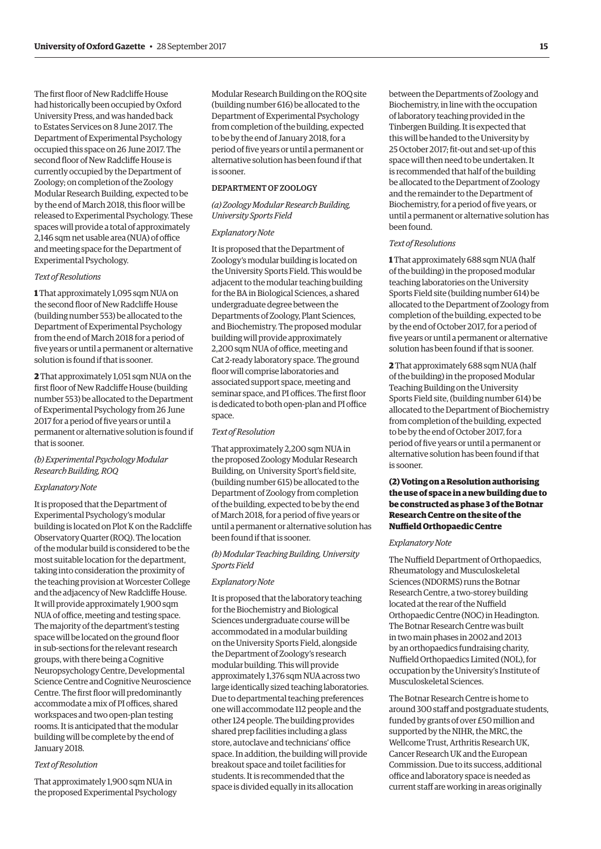The first floor of New Radcliffe House had historically been occupied by Oxford University Press, and was handed back to Estates Services on 8 June 2017. The Department of Experimental Psychology occupied this space on 26 June 2017. The second floor of New Radcliffe House is currently occupied by the Department of Zoology; on completion of the Zoology Modular Research Building, expected to be by the end of March 2018, this floor will be released to Experimental Psychology. These spaces will provide a total of approximately  $2,146$  sqm net usable area (NUA) of office and meeting space for the Department of Experimental Psychology.

#### *Text of Resolutions*

**1** That approximately 1,095 sqm NUA on the second floor of New Radcliffe House (building number 553) be allocated to the Department of Experimental Psychology from the end of March 2018 for a period of fve years or until a permanent or alternative solution is found if that is sooner.

**2** That approximately 1,051 sqm NUA on the frst foor of New Radclife House (building number 553) be allocated to the Department of Experimental Psychology from 26 June 2017 for a period of five years or until a permanent or alternative solution is found if that is sooner.

# *(b) Experimental Psycholog Modular Research Building, ROQ*

#### *Explanatory Note*

It is proposed that the Department of Experimental Psychology's modular building is located on Plot K on the Radclife Observatory Quarter (ROQ). The location of the modular build is considered to be the most suitable location for the department, taking into consideration the proximity of the teaching provision at Worcester College and the adjacency of New Radclife House. It will provide approximately 1,900 sqm NUA of office, meeting and testing space. The majority of the department's testing space will be located on the ground floor in sub-sections for the relevant research groups, with there being a Cognitive Neuropsychology Centre, Developmental Science Centre and Cognitive Neuroscience Centre. The first floor will predominantly accommodate a mix of PI offices, shared workspaces and two open-plan testing rooms. It is anticipated that the modular building will be complete by the end of January 2018.

# *Text of Resolution*

That approximately 1,900 sqm NUA in the proposed Experimental Psychology Modular Research Building on the ROQ site (building number 616) be allocated to the Department of Experimental Psychology from completion of the building, expected to be by the end of January 2018, for a period of fve years or until a permanent or alternative solution has been found if that is sooner.

# DEPARTMENT OF ZOOLOGY

 $(a)$  Zoology Modular Research Building, *University Sports Field* 

#### *Explanatory Note*

It is proposed that the Department of Zoology's modular building is located on the University Sports Field. This would be adjacent to the modular teaching building for the BA in Biological Sciences, a shared undergraduate degree between the Departments of Zoology, Plant Sciences, and Biochemistry. The proposed modular building will provide approximately 2,200 sqm NUA of office, meeting and Cat 2-ready laboratory space. The ground foor will comprise laboratories and associated support space, meeting and seminar space, and PI offices. The first floor is dedicated to both open-plan and PI office space.

#### *Text of Resolution*

That approximately 2,200 sqm NUA in the proposed Zoology Modular Research Building, on University Sport's field site, (building number 615) be allocated to the Department of Zoology from completion of the building, expected to be by the end of March 2018, for a period of fve years or until a permanent or alternative solution has been found if that is sooner.

# *(b) Modular Teaching Building, University Sports Field*

#### *Explanatory Note*

It is proposed that the laboratory teaching for the Biochemistry and Biological Sciences undergraduate course will be accommodated in a modular building on the University Sports Field, alongside the Department of Zoology's research modular building. This will provide approximately 1,376 sqm NUA across two large identically sized teaching laboratories. Due to departmental teaching preferences one will accommodate 112 people and the other 124 people. The building provides shared prep facilities including a glass store, autoclave and technicians' office space. In addition, the building will provide breakout space and toilet facilities for students. It is recommended that the space is divided equally in its allocation

between the Departments of Zoology and Biochemistry, in line with the occupation of laboratory teaching provided in the Tinbergen Building. It is expected that this will be handed to the University by 25 October 2017; ft-out and set-up of this space will then need to be undertaken. It is recommended that half of the building be allocated to the Department of Zoology and the remainder to the Department of Biochemistry, for a period of fve years, or until a permanent or alternative solution has been found.

# *Text of Resolutions*

**1** That approximately 688 sqm NUA (half of the building) in the proposed modular teaching laboratories on the University Sports Field site (building number 614) be allocated to the Department of Zoology from completion of the building, expected to be by the end of October 2017, for a period of five years or until a permanent or alternative solution has been found if that is sooner.

**2** That approximately 688 sqm NUA (half of the building) in the proposed Modular Teaching Building on the University Sports Field site, (building number 614) be allocated to the Department of Biochemistry from completion of the building, expected to be by the end of October 2017, for a period of fve years or until a permanent or alternative solution has been found if that is sooner.

# **(2) Voting on a Resolution authorising the use of space in a new building due to be constructed as phase 3 of the Botnar Research Centre on the site of the Nuffield Orthopaedic Centre**

#### *Explanatory Note*

The Nuffield Department of Orthopaedics, Rheumatology and Musculoskeletal Sciences (NDORMS) runs the Botnar Research Centre, a two-storey building located at the rear of the Nuffield Orthopaedic Centre (NOC) in Headington. The Botnar Research Centre was built in two main phases in 2002 and 2013 by an orthopaedics fundraising charity, Nuffield Orthopaedics Limited (NOL), for occupation by the University's Institute of Musculoskeletal Sciences.

The Botnar Research Centre is home to around 300 staff and postgraduate students, funded by grants of over £50 million and supported by the NIHR, the MRC, the Wellcome Trust, Arthritis Research UK, Cancer Research UK and the European Commission. Due to its success, additional office and laboratory space is needed as current staff are working in areas originally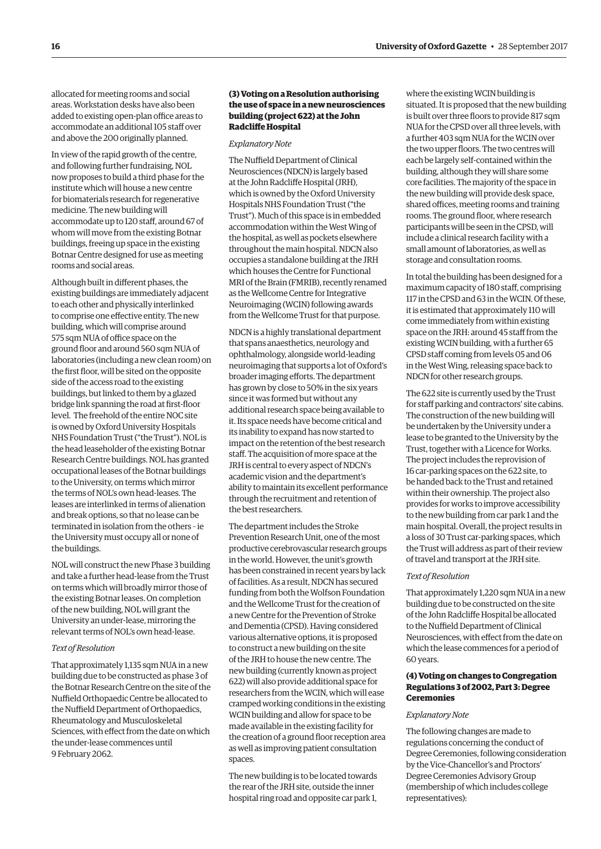allocated for meeting rooms and social areas. Workstation desks have also been added to existing open-plan office areas to accommodate an additional 105 staff over and above the 200 originally planned.

In view of the rapid growth of the centre, and following further fundraising, NOL now proposes to build a third phase for the institute which will house a new centre for biomaterials research for regenerative medicine. The new building will accommodate up to 120 staf, around 67 of whom will move from the existing Botnar buildings, freeing up space in the existing Botnar Centre designed for use as meeting rooms and social areas.

Although built in diferent phases, the existing buildings are immediately adjacent to each other and physically interlinked to comprise one efective entity. The new building, which will comprise around 575 sqm NUA of office space on the ground foor and around 560 sqm NUA of laboratories (including a new clean room) on the frst foor, will be sited on the opposite side of the access road to the existing buildings, but linked to them by a glazed bridge link spanning the road at frst-foor level. The freehold of the entire NOC site is owned by Oxford University Hospitals NHS Foundation Trust ("the Trust"). NOL is the head leaseholder of the existing Botnar Research Centre buildings. NOL has granted occupational leases of the Botnar buildings to the University, on terms which mirror the terms of NOL's own head-leases. The leases are interlinked in terms of alienation and break options, so that no lease can be terminated in isolation from the others – ie the University must occupy all or none of the buildings.

NOL will construct the new Phase 3 building and take a further head-lease from the Trust on terms which will broadly mirror those of the existing Botnar leases. On completion of the new building, NOL will grant the University an under-lease, mirroring the relevant terms of NOL's own head-lease.

# *Text of Resolution*

That approximately 1,135 sqm NUA in a new building due to be constructed as phase 3 of the Botnar Research Centre on the site of the Nuffield Orthopaedic Centre be allocated to the Nuffield Department of Orthopaedics, Rheumatology and Musculoskeletal Sciences, with effect from the date on which the under-lease commences until 9 February 2062.

# **(3) Voting on a Resolution authorising the use of space in a new neurosciences building (project 622) at the John Radclife Hospital**

#### *Explanatory Note*

The Nuffield Department of Clinical Neurosciences (NDCN) is largely based at the John Radclife Hospital (JRH), which is owned by the Oxford University Hospitals NHS Foundation Trust ("the Trust"). Much of this space is in embedded accommodation within the West Wing of the hospital, as well as pockets elsewhere throughout the main hospital. NDCN also occupies a standalone building at the JRH which houses the Centre for Functional MRI of the Brain (FMRIB), recently renamed as the Wellcome Centre for Integrative Neuroimaging (WCIN) following awards from the Wellcome Trust for that purpose.

NDCN is a highly translational department that spans anaesthetics, neurology and ophthalmology, alongside world-leading neuroimaging that supports a lot of Oxford's broader imaging eforts. The department has grown by close to 50% in the six years since it was formed but without any additional research space being available to it. Its space needs have become critical and its inability to expand has now started to impact on the retention of the best research staff. The acquisition of more space at the JRH is central to every aspect of NDCN's academic vision and the department's ability to maintain its excellent performance through the recruitment and retention of the best researchers.

The department includes the Stroke Prevention Research Unit, one of the most productive cerebrovascular research groups in the world. However, the unit's growth has been constrained in recent years by lack of facilities. As a result, NDCN has secured funding from both the Wolfson Foundation and the Wellcome Trust for the creation of a new Centre for the Prevention of Stroke and Dementia (CPSD). Having considered various alternative options, it is proposed to construct a new building on the site of the JRH to house the new centre. The new building (currently known as project 622) will also provide additional space for researchers from the WCIN, which will ease cramped working conditions in the existing WCIN building and allow for space to be made available in the existing facility for the creation of a ground floor reception area as well as improving patient consultation spaces.

The new building is to be located towards the rear of the JRH site, outside the inner hospital ring road and opposite car park 1, where the existing WCIN building is situated. It is proposed that the new building is built over three foors to provide 817 sqm NUA for the CPSD over all three levels, with a further 403 sqm NUA for the WCIN over the two upper floors. The two centres will each be largely self-contained within the building, although they will share some core facilities. The majority of the space in the new building will provide desk space, shared offices, meeting rooms and training rooms. The ground floor, where research participants will be seen in the CPSD, will include a clinical research facility with a small amount of laboratories, as well as storage and consultation rooms.

In total the building has been designed for a maximum capacity of 180 staf, comprising 117 in the CPSD and 63 in the WCIN. Of these, it is estimated that approximately 110 will come immediately from within existing space on the JRH: around 45 staff from the existing WCIN building, with a further 65 CPSD staff coming from levels 05 and 06 in the West Wing, releasing space back to NDCN for other research groups.

The 622 site is currently used by the Trust for staff parking and contractors' site cabins. The construction of the new building will be undertaken by the University under a lease to be granted to the University by the Trust, together with a Licence for Works. The project includes the reprovision of 16 car-parking spaces on the 622 site, to be handed back to the Trust and retained within their ownership. The project also provides for works to improve accessibility to the new building from car park 1 and the main hospital. Overall, the project results in a loss of 30 Trust car-parking spaces, which the Trust will address as part of their review of travel and transport at the JRH site.

#### *Text of Resolution*

That approximately 1,220 sqm NUA in a new building due to be constructed on the site of the John Radclife Hospital be allocated to the Nuffield Department of Clinical Neurosciences, with efect from the date on which the lease commences for a period of 60 years.

# **(4) Voting on changes to Congregation Regulations 3 of 2002, Part 3: Degree Ceremonies**

#### *Explanatory Note*

The following changes are made to regulations concerning the conduct of Degree Ceremonies, following consideration by the Vice-Chancellor's and Proctors' Degree Ceremonies Advisory Group (membership of which includes college representatives):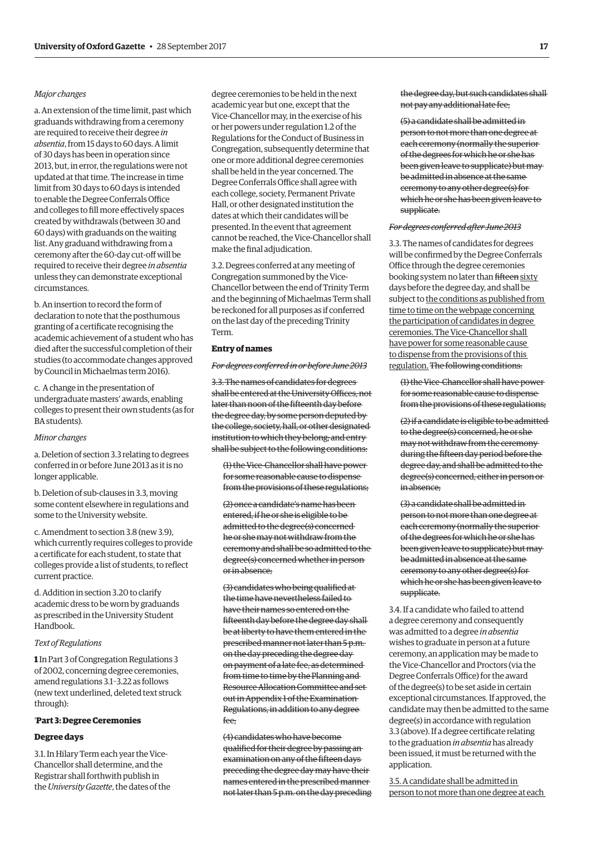# *Major changes*

a. An extension of the time limit, past which graduands withdrawing from a ceremony are required to receive their degree *in absentia*, from 15 days to 60 days. A limit of 30 days has been in operation since 2013, but, in error, the regulations were not updated at that time. The increase in time limit from 30 days to 60 days is intended to enable the Degree Conferrals Office and colleges to fill more effectively spaces created by withdrawals (between 30 and 60 days) with graduands on the waiting list. Any graduand withdrawing from a ceremony after the 60-day cut-of will be required to receive their degree *in absentia*  unless they can demonstrate exceptional circumstances.

b. An insertion to record the form of declaration to note that the posthumous granting of a certifcate recognising the academic achievement of a student who has died after the successful completion of their studies (to accommodate changes approved by Council in Michaelmas term 2016).

c. A change in the presentation of undergraduate masters' awards, enabling colleges to present their own students (as for BA students).

#### *Minor changes*

a. Deletion of section 3.3 relating to degrees conferred in or before June 2013 as it is no longer applicable.

b. Deletion of sub-clauses in 3.3, moving some content elsewhere in regulations and some to the University website.

c. Amendment to section 3.8 (new 3.9), which currently requires colleges to provide a certifcate for each student, to state that colleges provide a list of students, to refect current practice.

d. Addition in section 3.20 to clarify academic dress to be worn by graduands as prescribed in the University Student Handbook.

#### *Text of Regulations*

**1** In Part 3 of Congregation Regulations 3 of 2002, concerning degree ceremonies, amend regulations 3.1–3.22 as follows (new text underlined, deleted text struck through):

# '**Part 3: Degree Ceremonies**

#### **Degree days**

3.1. In Hilary Term each year the Vice-Chancellor shall determine, and the Registrar shall forthwith publish in the *University Gazette*, the dates of the

degree ceremonies to be held in the next academic year but one, except that the Vice-Chancellor may, in the exercise of his or her powers under regulation 1.2 of the Regulations for the Conduct of Business in Congregation, subsequently determine that one or more additional degree ceremonies shall be held in the year concerned. The Degree Conferrals Office shall agree with each college, society, Permanent Private Hall, or other designated institution the dates at which their candidates will be presented. In the event that agreement cannot be reached, the Vice-Chancellor shall make the final adjudication.

3.2. Degrees conferred at any meeting of Congregation summoned by the Vice-Chancellor between the end of Trinity Term and the beginning of Michaelmas Term shall be reckoned for all purposes as if conferred on the last day of the preceding Trinity Term.

# **Entry of names**

#### *For degrees conferred in or before June 2013*

3.3. The names of candidates for degrees shall be entered at the University Offices, not later than noon of the fifteenth day before the degree day, by some person deputed by the college, society, hall, or other designated institution to which they belong; and entry shall be subject to the following conditions:

(1) the Vice-Chancellor shall have power for some reasonable cause to dispense from the provisions of these regulations;

(2) once a candidate's name has been entered, if he or she is eligible to be admitted to the degree(s) concerned he or she may not withdraw from the ceremony and shall be so admitted to the degree(s) concerned whether in person or in absence;

(3) candidates who being qualifed at the time have nevertheless failed to have their names so entered on the fifteenth day before the degree day shall be at liberty to have them entered in the prescribed manner not later than 5 p.m. on the day preceding the degree day on payment of a late fee, as determined from time to time by the Planning and Resource Allocation Committee and set out in Appendix 1 of the Examination Regulations, in addition to any degree fee;

(4) candidates who have become qualifed for their degree by passing an examination on any of the fifteen days preceding the degree day may have their names entered in the prescribed manner not later than 5 p.m. on the day preceding the degree day, but such candidates shall not pay any additional late fee;

(5) a candidate shall be admitted in person to not more than one degree at each ceremony (normally the superior of the degrees for which he or she has been given leave to supplicate) but may be admitted in absence at the same ceremony to any other degree(s) for which he or she has been given leave to supplicate.

#### *For degrees conferred after June 2013*

3.3. The names of candidates for degrees will be confrmed by the Degree Conferrals Office through the degree ceremonies booking system no later than fifteen sixty days before the degree day, and shall be subject to the conditions as published from time to time on the webpage concerning the participation of candidates in degree ceremonies. The Vice-Chancellor shall have power for some reasonable cause to dispense from the provisions of this regulation. The following conditions:

(1) the Vice-Chancellor shall have power for some reasonable cause to dispense from the provisions of these regulations;

(2) if a candidate is eligible to be admitted to the degree(s) concerned, he or she may not withdraw from the ceremony during the ffteen day period before the degree day, and shall be admitted to the degree(s) concerned, either in person or in absence;

(3) a candidate shall be admitted in person to not more than one degree at each ceremony (normally the superior of the degrees for which he or she has been given leave to supplicate) but may be admitted in absence at the same ceremony to any other degree(s) for which he or she has been given leave to supplicate.

3.4. If a candidate who failed to attend a degree ceremony and consequently was admitted to a degree *in absentia*  wishes to graduate in person at a future ceremony, an application may be made to the Vice-Chancellor and Proctors (via the Degree Conferrals Office) for the award of the degree(s) to be set aside in certain exceptional circumstances. If approved, the candidate may then be admitted to the same degree(s) in accordance with regulation 3.3 (above). If a degree certifcate relating to the graduation *in absentia* has already been issued, it must be returned with the application.

3.5. A candidate shall be admitted in person to not more than one degree at each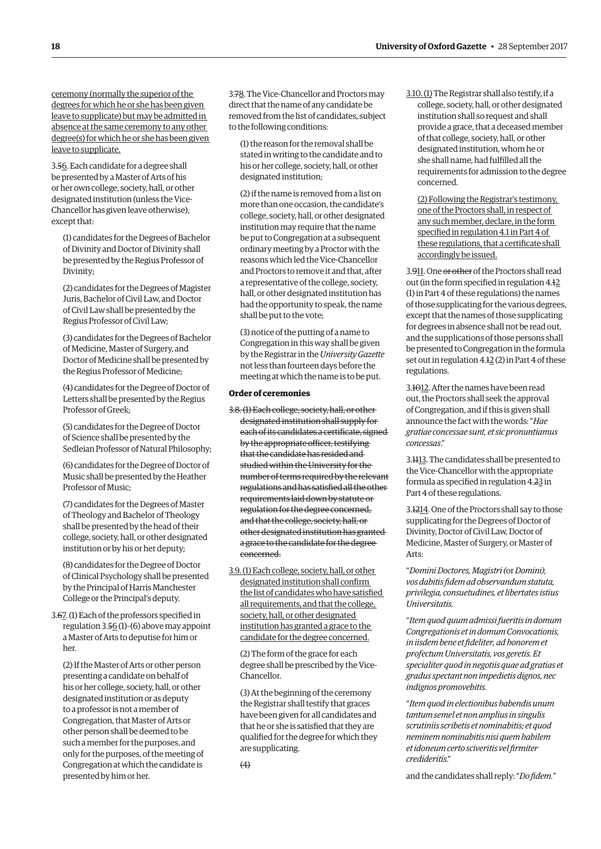ceremony (normally the superior of the degrees for which he or she has been given leave to supplicate) but may be admitted in absence at the same ceremony to any other degree(s) for which he or she has been given leave to supplicate.

3.56. Each candidate for a degree shall be presented by a Master of Arts of his or her own college, society, hall, or other designated institution (unless the Vice-Chancellor has given leave otherwise), except that:

(1) candidates for the Degrees of Bachelor of Divinity and Doctor of Divinity shall be presented by the Regius Professor of Divinity;

(2) candidates for the Degrees of Magister Juris, Bachelor of Civil Law, and Doctor of Civil Law shall be presented by the Regius Professor of Civil Law;

(3) candidates for the Degrees of Bachelor of Medicine, Master of Surgery, and Doctor of Medicine shall be presented by the Regius Professor of Medicine;

(4) candidates for the Degree of Doctor of Letters shall be presented by the Regius Professor of Greek;

(5) candidates for the Degree of Doctor of Science shall be presented by the Sedleian Professor of Natural Philosophy;

(6) candidates for the Degree of Doctor of Music shall be presented by the Heather Professor of Music;

(7) candidates for the Degrees of Master of Theology and Bachelor of Theology shall be presented by the head of their college, society, hall, or other designated institution or by his or her deputy;

(8) candidates for the Degree of Doctor of Clinical Psychology shall be presented by the Principal of Harris Manchester College or the Principal's deputy.

3.67. (1) Each of the professors specifed in regulation 3.56 (1)–(6) above may appoint a Master of Arts to deputise for him or her.

(2) If the Master of Arts or other person presenting a candidate on behalf of his or her college, society, hall, or other designated institution or as deputy to a professor is not a member of Congregation, that Master of Arts or other person shall be deemed to be such a member for the purposes, and only for the purposes, of the meeting of Congregation at which the candidate is presented by him or her.

3.78. The Vice-Chancellor and Proctors may direct that the name of any candidate be removed from the list of candidates, subject to the following conditions:

(1) the reason for the removal shall be stated in writing to the candidate and to his or her college, society, hall, or other designated institution;

(2) if the name is removed from a list on more than one occasion, the candidate's college, society, hall, or other designated institution may require that the name be put to Congregation at a subsequent ordinary meeting by a Proctor with the reasons which led the Vice-Chancellor and Proctors to remove it and that, after a representative of the college, society, hall, or other designated institution has had the opportunity to speak, the name shall be put to the vote;

(3) notice of the putting of a name to Congregation in this way shall be given by the Registrar in the *University Gazette*  not less than fourteen days before the meeting at which the name is to be put.

# **Order of ceremonies**

- 3.8.(1) Each college, society, hall, or other designated institution shall supply for each of its candidates a certificate, signedby the appropriate officer, testifying that the candidate has resided and studied within the University for the number of terms required by the relevant regulations and has satisfed all the other requirements laid down by statute or regulation for the degree concerned, and that the college, society, hall, or other designated institution has granted a grace to the candidate for the degree concerned.
- 3.9.(1) Each college, society, hall, or other designated institution shall confrm the list of candidates who have satisfed all requirements, and that the college, society, hall, or other designated institution has granted a grace to the candidate for the degree concerned.

(2) The form of the grace for each degree shall be prescribed by the Vice-Chancellor.

(3) At the beginning of the ceremony the Registrar shall testify that graces have been given for all candidates and that he or she is satisfed that they are qualifed for the degree for which they are supplicating.

3.10.(1) The Registrar shall also testify, if a college, society, hall, or other designated institution shall so request and shall provide a grace, that a deceased member of that college, society, hall, or other designated institution, whom he or she shall name, had fulflled all the requirements for admission to the degree concerned.

(2) Following the Registrar's testimony, one of the Proctors shall, in respect of any such member, declare, in the form specifed in regulation 4.1 in Part 4 of these regulations, that a certifcate shall accordingly be issued.

3.911. One or other of the Proctors shall read out (in the form specifed in regulation 4.12 (1) in Part 4 of these regulations) the names of those supplicating for the various degrees, except that the names of those supplicating for degrees in absence shall not be read out, and the supplications of those persons shall be presented to Congregation in the formula set out in regulation 4.12 (2) in Part 4 of these regulations.

3.1012. After the names have been read out, the Proctors shall seek the approval of Congregation, and if this is given shall announce the fact with the words: "*Hae gratiae concessae sunt, et sic pronuntiamus concessas*."

3.1113. The candidates shall be presented to the Vice-Chancellor with the appropriate formula as specifed in regulation 4.23 in Part 4 of these regulations.

3.1214. One of the Proctors shall say to those supplicating for the Degrees of Doctor of Divinity, Doctor of Civil Law, Doctor of Medicine, Master of Surgery, or Master of Arts:

"*Domini Doctores, Magistri (*or *Domini), vos dabitis fdem ad observandum statuta, privilegia, consuetudines, et libertates istius Universitatis.* 

"*Item quod quum admissi fueritis in domum Congregationis et in domum Convocationis, in iisdem bene et fdeliter, ad honorem et profectum Universitatis, vos geretis. Et specialiter quod in negotiis quae ad gratias et gradus spectant non impedietis dignos, nec indignos promovebitis.* 

"*Item quod in electionibus habendis unum tantum semel et non amplius in singulis scrutiniis scribetis et nominabitis; et quod neminem nominabitis nisi quem habilem et idoneum certo sciveritis vel frmiter credideritis*."

and the candidates shall reply: "*Do fdem.*"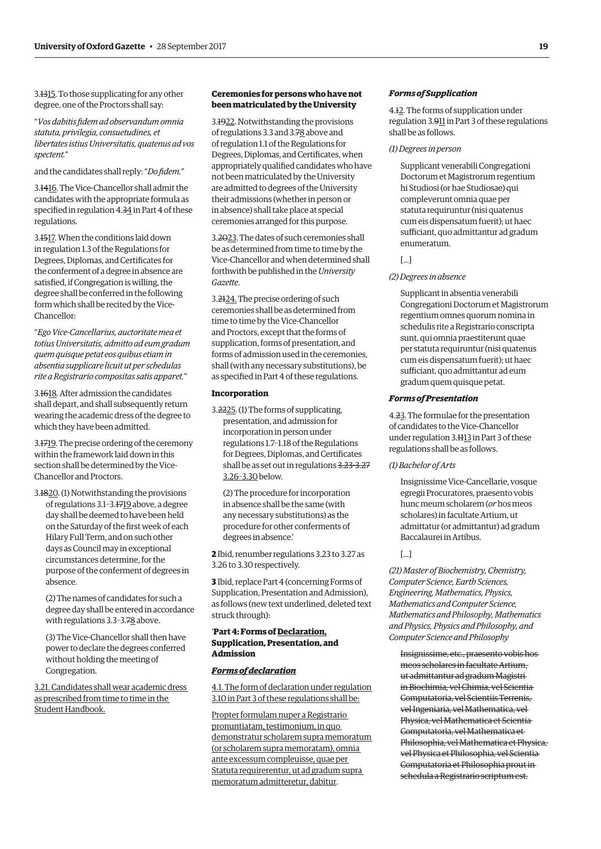3.1315. To those supplicating for any other degree, one of the Proctors shall say:

"*Vos dabitis fdem ad observandum omnia statuta, privilegia, consuetudines, et libertates istius Universitatis, quatenus ad vos spectent.*"

and the candidates shall reply: "*Do fdem.*"

3.1416. The Vice-Chancellor shall admit the candidates with the appropriate formula as specifed in regulation 4.34 in Part 4 of these regulations.

3.1517. When the conditions laid down in regulation 1.3 of the Regulations for Degrees, Diplomas, and Certifcates for the conferment of a degree in absence are satisfed, if Congregation is willing, the degree shall be conferred in the following form which shall be recited by the Vice-Chancellor:

"*Ego Vice-Cancellarius, auctoritate mea et totius Universitatis, admitto ad eum gradum quem quisque petat eos quibus etiam in absentia supplicare licuit ut per schedulas rite a Registrario compositas satis apparet.*"

3.1618. After admission the candidates shall depart, and shall subsequently return wearing the academic dress of the degree to which they have been admitted.

3.1719. The precise ordering of the ceremony within the framework laid down in this section shall be determined by the Vice-Chancellor and Proctors.

3.1820. (1) Notwithstanding the provisions of regulations 3.1–3.1719 above, a degree day shall be deemed to have been held on the Saturday of the frst week of each Hilary Full Term, and on such other days as Council may in exceptional circumstances determine, for the purpose of the conferment of degrees in absence.

(2) The names of candidates for such a degree day shall be entered in accordance with regulations 3.3-3.78 above.

(3) The Vice-Chancellor shall then have power to declare the degrees conferred without holding the meeting of Congregation.

3.21. Candidates shall wear academic dress as prescribed from time to time in the Student Handbook.

# **Ceremonies for persons who have not been matriculated by the University**

3.1922. Notwithstanding the provisions of regulations 3.3 and 3.78 above and of regulation 1.1 of the Regulations for Degrees, Diplomas, and Certifcates, when appropriately qualifed candidates who have not been matriculated by the University are admitted to degrees of the University their admissions (whether in person or in absence) shall take place at special ceremonies arranged for this purpose.

3.2023. The dates of such ceremonies shall be as determined from time to time by the Vice-Chancellor and when determined shall forthwith be published in the *University Gazette*.

3.2124. The precise ordering of such ceremonies shall be as determined from time to time by the Vice-Chancellor and Proctors, except that the forms of supplication, forms of presentation, and forms of admission used in the ceremonies, shall (with any necessary substitutions), be as specifed in Part 4 of these regulations.

# **Incorporation**

3.2225. (1) The forms of supplicating, presentation, and admission for incorporation in person under regulations 1.7–1.18 of the Regulations for Degrees, Diplomas, and Certifcates shall be as set out in regulations 3.23-3.27 3.26–3.30 below.

(2) The procedure for incorporation in absence shall be the same (with any necessary substitutions) as the procedure for other conferments of degrees in absence.'

**2** Ibid, renumber regulations 3.23 to 3.27 as 3.26 to 3.30 respectively.

**3** Ibid, replace Part 4 (concerning Forms of Supplication, Presentation and Admission), as follows (new text underlined, deleted text struck through):

# '**Part 4: Forms of Declaration, Supplication, Presentation, and Admission**

# *Forms of declaration*

4.1. The form of declaration under regulation 3.10 in Part 3 of these regulations shall be:

Propter formulam nuper a Registrario pronuntiatam, testimonium, in quo demonstratur scholarem supra memoratum (or scholarem supra memoratam), omnia ante excessum compleuisse, quae per Statuta requirerentur, ut ad gradum supra memoratum admitteretur, dabitur.

#### *Forms of Supplication*

4.12. The forms of supplication under regulation 3.911 in Part 3 of these regulations shall be as follows.

#### *(1) Degrees in person*

Supplicant venerabili Congregationi Doctorum et Magistrorum regentium hi Studiosi (or hae Studiosae) qui compleverunt omnia quae per statuta requiruntur (nisi quatenus cum eis dispensatum fuerit); ut haec sufficiant, quo admittantur ad gradum enumeratum.

# [...]

#### *(2) Degrees in absence*

Supplicant in absentia venerabili Congregationi Doctorum et Magistrorum regentium omnes quorum nomina in schedulis rite a Registrario conscripta sunt, qui omnia praestiterunt quae per statuta requiruntur (nisi quatenus cum eis dispensatum fuerit); ut haec sufficiant, quo admittantur ad eum gradum quem quisque petat.

#### *Forms of Presentation*

4.23. The formulae for the presentation of candidates to the Vice-Chancellor under regulation 3.1113 in Part 3 of these regulations shall be as follows.

#### *(1) Bachelor of Arts*

Insignissime Vice-Cancellarie, vosque egregii Procuratores, praesento vobis hunc meum scholarem (*or* hos meos scholares) in facultate Artium, ut admittatur (or admittantur) ad gradum Baccalaurei in Artibus.

#### [...]

*(21) Master of Biochemistry, Chemistry, Computer Science, Earth Sciences, Engineering, Mathematics, Physics, Mathematics and Computer Science, Mathematics and Philosophy, Mathematics and Physics, Physics and Philosophy, and Computer Science and Philosophy* 

Insignissime, etc., praesento vobis hos meos scholares in facultate Artium, ut admittantur ad gradum Magistri in Biochimia, vel Chimia, vel Scientia Computatoria, vel Scientiis Terrenis, vel Ingeniaria, vel Mathematica, vel Physica, vel Mathematica et Scientia Computatoria, vel Mathematica et Philosophia, vel Mathematica et Physica, vel Physica et Philosophia, vel Scientia Computatoria et Philosophia prout in schedula a Registrario scriptum est.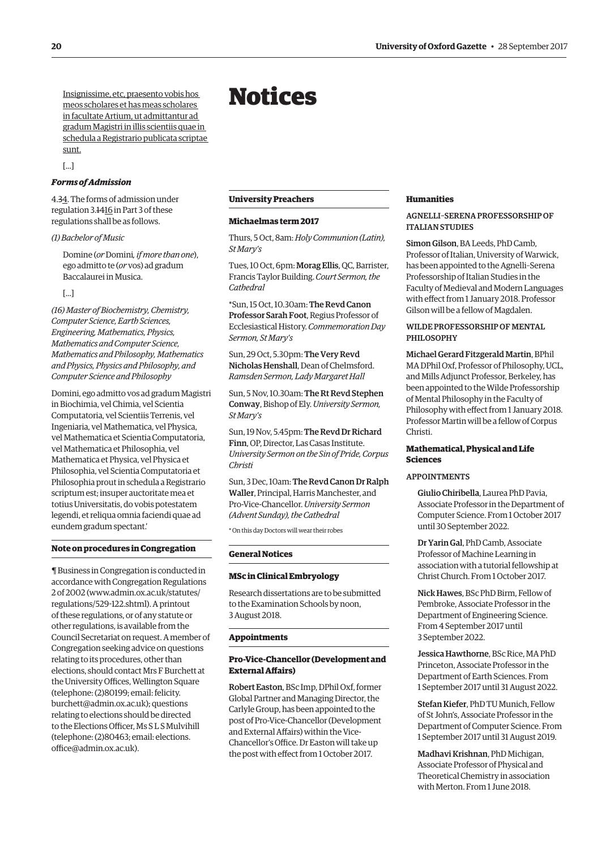<span id="page-7-0"></span>Insignissime, etc, praesento vobis hos meos scholares et has meas scholares in facultate Artium, ut admittantur ad gradum Magistri in illis scientiis quae in schedula a Registrario publicata scriptae sunt.

[...]

## *Forms of Admission*

4.34. The forms of admission under regulation 3.1416 in Part 3 of these regulations shall be as follows.

#### *(1) Bachelor of Music*

Domine (*or* Domini*, if more than one*), ego admitto te (*or* vos) ad gradum Baccalaurei in Musica.

#### [...]

*(16) Master of Biochemistry, Chemistry, Computer Science, Earth Sciences, Engineering, Mathematics, Physics, Mathematics and Computer Science, Mathematics and Philosophy, Mathematics and Physics, Physics and Philosophy, and Computer Science and Philosophy* 

Domini, ego admitto vos ad gradum Magistri in Biochimia, vel Chimia, vel Scientia Computatoria, vel Scientiis Terrenis, vel Ingeniaria, vel Mathematica, vel Physica, vel Mathematica et Scientia Computatoria, vel Mathematica et Philosophia, vel Mathematica et Physica, vel Physica et Philosophia, vel Scientia Computatoria et Philosophia prout in schedula a Registrario scriptum est; insuper auctoritate mea et totius Universitatis, do vobis potestatem legendi, et reliqua omnia faciendi quae ad eundem gradum spectant.'

## **Note on procedures in Congregation**

¶ Business in Congregation is conducted in accordance with Congregation Regulations 2 of 2002 [\(www.admin.ox.ac.uk/statutes/](http://www.admin.ox.ac.uk/statutes/regulations/529-122.shtml)  [regulations/529-122.shtml\). A](http://www.admin.ox.ac.uk/statutes/regulations/529-122.shtml) printout of these regulations, or of any statute or other regulations, is available from the Council Secretariat on request. A member of Congregation seeking advice on questions relating to its procedures, other than elections, should contact Mrs F Burchett at the University Offices, Wellington Square (telephone: (2)80199; email: felicity. [burchett@admin.ox.ac.uk\); questions](mailto:felicity.burchett@admin.ox.ac.uk)  relating to elections should be directed to the Elections Officer. Ms S L S Mulvihill [\(telephone: \(2\)80463; email: elections.](mailto:elections.office@admin.ox.ac.uk)  office@admin.ox.ac.uk).

# Notices

# **University Preachers**

#### **Michaelmas term 2017**

Thurs, 5 Oct, 8am: *Holy Communion (Latin), St Mary's* 

Tues, 10 Oct, 6pm: Morag Ellis, QC, Barrister, Francis Taylor Building. *Court Sermon, the Cathedral* 

\*Sun, 15 Oct, 10.30am: The Revd Canon Professor Sarah Foot, Regius Professor of Ecclesiastical History. *Commemoration Day Sermon, St Mary's* 

Sun, 29 Oct, 5.30pm: The Very Revd Nicholas Henshall, Dean of Chelmsford. *Ramsden Sermon, Lady Margaret Hall* 

Sun, 5 Nov, 10.30am: The Rt Revd Stephen Conway, Bishop of Ely. *University Sermon, St Mary's* 

Sun, 19 Nov, 5.45pm: The Revd Dr Richard Finn, OP, Director, Las Casas Institute. *University Sermon on the Sin of Pride, Corpus Christi* 

Sun, 3 Dec, 10am: The Revd Canon Dr Ralph Waller, Principal, Harris Manchester, and Pro-Vice-Chancellor. *University Sermon (Advent Sunday), the Cathedral* 

\* On this day Doctors will wear their robes

#### **General Notices**

#### **MSc in Clinical Embryology**

Research dissertations are to be submitted to the Examination Schools by noon, 3 August 2018.

#### **Appointments**

# **Pro-Vice-Chancellor (Development and External Afairs)**

Robert Easton, BSc Imp, DPhil Oxf, former Global Partner and Managing Director, the Carlyle Group, has been appointed to the post of Pro-Vice-Chancellor (Development and External Afairs) within the Vice-Chancellor's Office. Dr Easton will take up the post with efect from 1 October 2017.

# **Humanities**

# AGNELLI–SERENA PROFESSORSHIP OF ITALIAN STUDIES

Simon Gilson, BA Leeds, PhD Camb, Professor of Italian, University of Warwick, has been appointed to the Agnelli–Serena Professorship of Italian Studies in the Faculty of Medieval and Modern Languages with efect from 1 January 2018. Professor Gilson will be a fellow of Magdalen.

# WILDE PROFESSORSHIP OF MENTAL PHILOSOPHY

Michael Gerard Fitzgerald Martin, BPhil MA DPhil Oxf, Professor of Philosophy, UCL, and Mills Adjunct Professor, Berkeley, has been appointed to the Wilde Professorship of Mental Philosophy in the Faculty of Philosophy with efect from 1 January 2018. Professor Martin will be a fellow of Corpus Christi.

# **Mathematical, Physical and Life Sciences**

# APPOINTMENTS

Giulio Chiribella, Laurea PhD Pavia, Associate Professor in the Department of Computer Science. From 1 October 2017 until 30 September 2022.

Dr Yarin Gal, PhD Camb, Associate Professor of Machine Learning in association with a tutorial fellowship at Christ Church. From 1 October 2017.

Nick Hawes, BSc PhD Birm, Fellow of Pembroke, Associate Professor in the Department of Engineering Science. From 4 September 2017 until 3 September 2022.

Jessica Hawthorne, BSc Rice, MA PhD Princeton, Associate Professor in the Department of Earth Sciences. From 1 September 2017 until 31 August 2022.

Stefan Kiefer, PhD TU Munich, Fellow of St John's, Associate Professor in the Department of Computer Science. From 1 September 2017 until 31 August 2019.

Madhavi Krishnan, PhD Michigan, Associate Professor of Physical and Theoretical Chemistry in association with Merton. From 1 June 2018.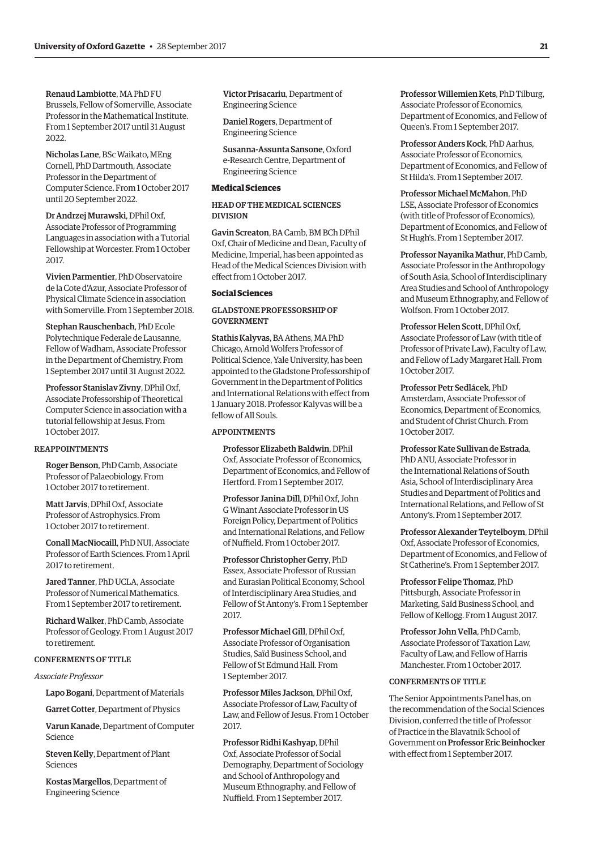Renaud Lambiotte, MA PhD FU Brussels, Fellow of Somerville, Associate Professor in the Mathematical Institute. From 1 September 2017 until 31 August 2022.

Nicholas Lane, BSc Waikato, MEng Cornell, PhD Dartmouth, Associate Professor in the Department of Computer Science. From 1 October 2017 until 20 September 2022.

Dr Andrzej Murawski, DPhil Oxf, Associate Professor of Programming Languages in association with a Tutorial Fellowship at Worcester. From 1 October 2017.

Vivien Parmentier, PhD Observatoire de la Cote d'Azur, Associate Professor of Physical Climate Science in association with Somerville. From 1 September 2018.

Stephan Rauschenbach, PhD Ecole Polytechnique Federale de Lausanne, Fellow of Wadham, Associate Professor in the Department of Chemistry. From 1 September 2017 until 31 August 2022.

Professor Stanislav Zivny, DPhil Oxf, Associate Professorship of Theoretical Computer Science in association with a tutorial fellowship at Jesus. From 1 October 2017.

#### REAPPOINTMENTS

Roger Benson, PhD Camb, Associate Professor of Palaeobiology. From 1 October 2017 to retirement.

Matt Jarvis, DPhil Oxf, Associate Professor of Astrophysics. From 1 October 2017 to retirement.

Conall MacNiocaill, PhD NUI, Associate Professor of Earth Sciences. From 1 April 2017 to retirement.

Jared Tanner, PhD UCLA, Associate Professor of Numerical Mathematics. From 1 September 2017 to retirement.

Richard Walker, PhD Camb, Associate Professor of Geology. From 1 August 2017 to retirement.

#### CONFERMENTS OF TITLE

*Associate Professor* 

Lapo Bogani, Department of Materials

Garret Cotter, Department of Physics

Varun Kanade, Department of Computer Science

Steven Kelly, Department of Plant Sciences

Kostas Margellos, Department of Engineering Science

Victor Prisacariu, Department of Engineering Science

Daniel Rogers, Department of Engineering Science

Susanna-Assunta Sansone, Oxford e-Research Centre, Department of Engineering Science

# **Medical Sciences**

HEAD OF THE MEDICAL SCIENCES DIVISION

Gavin Screaton, BA Camb, BM BCh DPhil Oxf, Chair of Medicine and Dean, Faculty of Medicine, Imperial, has been appointed as Head of the Medical Sciences Division with efect from 1 October 2017.

# **Social Sciences**

# GLADSTONE PROFESSORSHIP OF GOVERNMENT

Stathis Kalyvas, BA Athens, MA PhD Chicago, Arnold Wolfers Professor of Political Science, Yale University, has been appointed to the Gladstone Professorship of Government in the Department of Politics and International Relations with efect from 1 January 2018. Professor Kalyvas will be a fellow of All Souls.

#### APPOINTMENTS

Professor Elizabeth Baldwin, DPhil Oxf, Associate Professor of Economics, Department of Economics, and Fellow of Hertford. From 1 September 2017.

Professor Janina Dill, DPhil Oxf, John G Winant Associate Professor in US Foreign Policy, Department of Politics and International Relations, and Fellow of Nuffield. From 1 October 2017.

Professor Christopher Gerry, PhD Essex, Associate Professor of Russian and Eurasian Political Economy, School of Interdisciplinary Area Studies, and Fellow of St Antony's. From 1 September 2017.

Professor Michael Gill, DPhil Oxf, Associate Professor of Organisation Studies, Saïd Business School, and Fellow of St Edmund Hall. From 1 September 2017.

Professor Miles Jackson, DPhil Oxf, Associate Professor of Law, Faculty of Law, and Fellow of Jesus. From 1 October  $2017$ 

Professor Ridhi Kashyap, DPhil Oxf, Associate Professor of Social Demography, Department of Sociology and School of Anthropology and Museum Ethnography, and Fellow of Nuffield. From 1 September 2017.

Professor Willemien Kets, PhD Tilburg, Associate Professor of Economics, Department of Economics, and Fellow of Queen's. From 1 September 2017.

Professor Anders Kock, PhD Aarhus, Associate Professor of Economics, Department of Economics, and Fellow of St Hilda's. From 1 September 2017.

# Professor Michael McMahon, PhD

LSE, Associate Professor of Economics (with title of Professor of Economics), Department of Economics, and Fellow of St Hugh's. From 1 September 2017.

Professor Nayanika Mathur, PhD Camb, Associate Professor in the Anthropology of South Asia, School of Interdisciplinary Area Studies and School of Anthropology and Museum Ethnography, and Fellow of Wolfson. From 1 October 2017.

Professor Helen Scott, DPhil Oxf, Associate Professor of Law (with title of Professor of Private Law), Faculty of Law, and Fellow of Lady Margaret Hall. From 1 October 2017.

Professor Petr Sedlácek, PhD Amsterdam, Associate Professor of Economics, Department of Economics, and Student of Christ Church. From 1 October 2017.

Professor Kate Sullivan de Estrada, PhD ANU, Associate Professor in the International Relations of South Asia, School of Interdisciplinary Area Studies and Department of Politics and International Relations, and Fellow of St Antony's. From 1 September 2017.

Professor Alexander Teytelboym, DPhil Oxf, Associate Professor of Economics, Department of Economics, and Fellow of St Catherine's. From 1 September 2017.

Professor Felipe Thomaz, PhD Pittsburgh, Associate Professor in Marketing, Saïd Business School, and Fellow of Kellogg. From 1 August 2017.

Professor John Vella, PhD Camb, Associate Professor of Taxation Law, Faculty of Law, and Fellow of Harris Manchester. From 1 October 2017.

#### CONFERMENTS OF TITLE

The Senior Appointments Panel has, on the recommendation of the Social Sciences Division, conferred the title of Professor of Practice in the Blavatnik School of Government on Professor Eric Beinhocker with efect from 1 September 2017.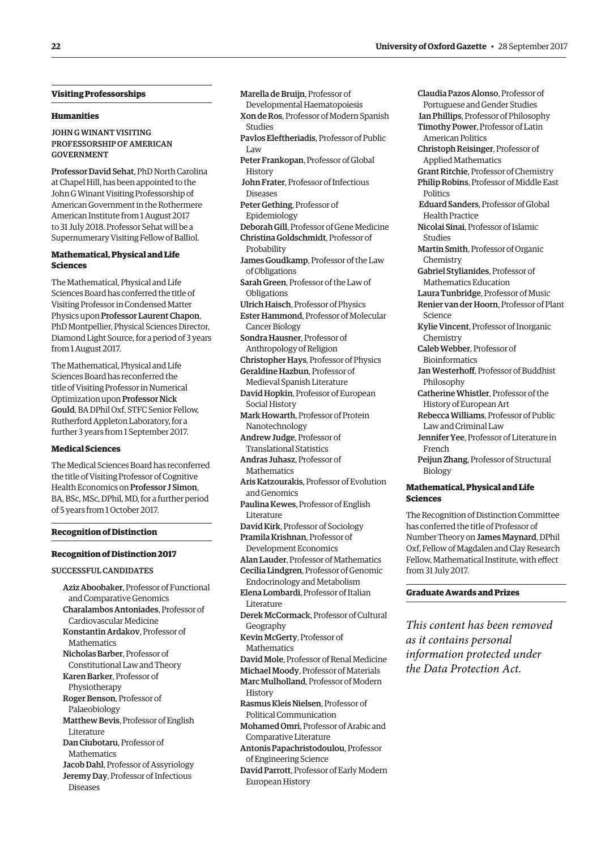# **Visiting Professorships**

#### **Humanities**

# JOHN G WINANT VISITING PROFESSORSHIP OF AMERICAN GOVERNMENT

Professor David Sehat, PhD North Carolina at Chapel Hill, has been appointed to the John G Winant Visiting Professorship of American Government in the Rothermere American Institute from 1 August 2017 to 31 July 2018. Professor Sehat will be a Supernumerary Visiting Fellow of Balliol.

# **Mathematical, Physical and Life Sciences**

The Mathematical, Physical and Life Sciences Board has conferred the title of Visiting Professor in Condensed Matter Physics upon Professor Laurent Chapon, PhD Montpellier, Physical Sciences Director, Diamond Light Source, for a period of 3 years from 1 August 2017.

The Mathematical, Physical and Life Sciences Board has reconferred the title of Visiting Professor in Numerical Optimization upon Professor Nick Gould, BA DPhil Oxf, STFC Senior Fellow, Rutherford Appleton Laboratory, for a further 3 years from 1 September 2017.

# **Medical Sciences**

The Medical Sciences Board has reconferred the title of Visiting Professor of Cognitive Health Economics on Professor J Simon, BA, BSc, MSc, DPhil, MD, for a further period of 5 years from 1 October 2017.

#### **Recognition of Distinction**

#### **Recognition of Distinction 2017**

# SUCCESSFUL CANDIDATES

Aziz Aboobaker, Professor of Functional and Comparative Genomics Charalambos Antoniades, Professor of Cardiovascular Medicine Konstantin Ardakov, Professor of **Mathematics** Nicholas Barber, Professor of Constitutional Law and Theory Karen Barker, Professor of Physiotherapy Roger Benson, Professor of Palaeobiology Matthew Bevis, Professor of English Literature Dan Ciubotaru, Professor of **Mathematics** Jacob Dahl, Professor of Assyriology Jeremy Day, Professor of Infectious Diseases

Marella de Bruijn, Professor of

- Developmental Haematopoiesis
- Xon de Ros, Professor of Modern Spanish Studies
- Pavlos Eleftheriadis, Professor of Public Law
- Peter Frankopan, Professor of Global **History**
- John Frater, Professor of Infectious Diseases
- Peter Gething, Professor of Epidemiology
- Deborah Gill, Professor of Gene Medicine
- Christina Goldschmidt, Professor of
- Probability
- James Goudkamp, Professor of the Law of Obligations
- Sarah Green, Professor of the Law of Obligations
- Ulrich Haisch, Professor of Physics
- Ester Hammond, Professor of Molecular Cancer Biology
- Sondra Hausner, Professor of Anthropology of Religion
- Christopher Hays, Professor of Physics
- Geraldine Hazbun, Professor of
- Medieval Spanish Literature

David Hopkin, Professor of European Social History

- Mark Howarth, Professor of Protein Nanotechnology
- Andrew Judge, Professor of Translational Statistics
- Andras Juhasz, Professor of **Mathematics**
- Aris Katzourakis, Professor of Evolution and Genomics
- Paulina Kewes, Professor of English Literature
- David Kirk, Professor of Sociology Pramila Krishnan, Professor of
- Development Economics
- Alan Lauder, Professor of Mathematics Cecilia Lindgren, Professor of Genomic
- Endocrinology and Metabolism
- Elena Lombardi, Professor of Italian Literature
- Derek McCormack, Professor of Cultural Geography
- Kevin McGerty, Professor of Mathematics
- David Mole, Professor of Renal Medicine
- Michael Moody, Professor of Materials
- Marc Mulholland, Professor of Modern History
- Rasmus Kleis Nielsen, Professor of
- Political Communication Mohamed Omri, Professor of Arabic and
- Comparative Literature
- Antonis Papachristodoulou, Professor of Engineering Science
- David Parrott, Professor of Early Modern European History

Claudia Pazos Alonso, Professor of Portuguese and Gender Studies Ian Phillips, Professor of Philosophy Timothy Power, Professor of Latin American Politics Christoph Reisinger, Professor of Applied Mathematics Grant Ritchie, Professor of Chemistry Philip Robins, Professor of Middle East Politics Eduard Sanders, Professor of Global Health Practice Nicolai Sinai, Professor of Islamic Studies Martin Smith, Professor of Organic Chemistry Gabriel Stylianides, Professor of Mathematics Education Laura Tunbridge, Professor of Music Renier van der Hoorn, Professor of Plant Science Kylie Vincent, Professor of Inorganic Chemistry Caleb Webber, Professor of Bioinformatics Jan Westerhoff, Professor of Buddhist Philosophy Catherine Whistler, Professor of the History of European Art Rebecca Williams, Professor of Public Law and Criminal Law Jennifer Yee, Professor of Literature in French

Peijun Zhang, Professor of Structural Biology

# **Mathematical, Physical and Life Sciences**

The Recognition of Distinction Committee has conferred the title of Professor of Number Theory on James Maynard, DPhil Oxf, Fellow of Magdalen and Clay Research Fellow, Mathematical Institute, with efect from 31 July 2017.

# **Graduate Awards and Prizes**

*This content has been removed as it contains personal information protected under the Data Protection Act.*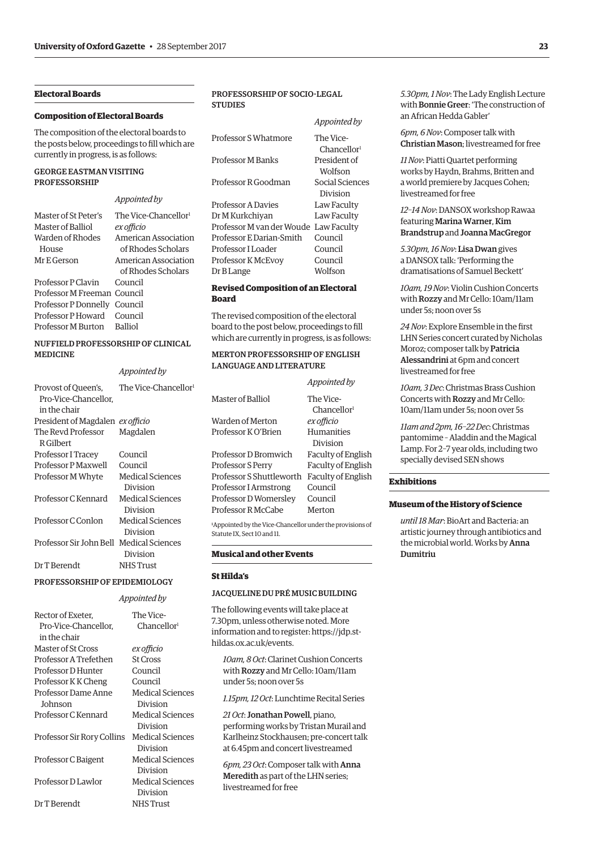# **Electoral Boards**

#### **Composition of Electoral Boards**

The composition of the electoral boards to the posts below, proceedings to fll which are currently in progress, is as follows:

# GEORGE EASTMAN VISITING PROFESSORSHIP

# *Appointed by*

| Master of St Peter's         | The Vice-Chancellor <sup>1</sup> |
|------------------------------|----------------------------------|
| Master of Balliol            | ex officio                       |
| Warden of Rhodes             | American Association             |
| House                        | of Rhodes Scholars               |
| Mr E Gerson                  | American Association             |
|                              | of Rhodes Scholars               |
| Professor P Clavin Council   |                                  |
| Professor M Freeman Council  |                                  |
| Professor P Donnelly Council |                                  |
| Professor P Howard Council   |                                  |
| Professor M Burton Balliol   |                                  |
|                              |                                  |

# NUFFIELD PROFESSORSHIP OF CLINICAL MEDICINE

# *Appointed by*

| Provost of Queen's, The Vice-Chancellor<br>Pro-Vice-Chancellor.<br>in the chair |                              |
|---------------------------------------------------------------------------------|------------------------------|
| President of Magdalen ex officio                                                |                              |
| The Revd Professor<br>R Gilbert                                                 | Magdalen                     |
| Professor I Tracey                                                              | Council                      |
| Professor P Maxwell                                                             | Council                      |
| Professor M Whyte                                                               | Medical Sciences<br>Division |
| Professor C Kennard                                                             | Medical Sciences<br>Division |
| Professor C.Conlon                                                              | Medical Sciences<br>Division |
| Professor Sir John Bell Medical Sciences                                        | Division                     |
| Dr T Berendt                                                                    | NHS Trust                    |
|                                                                                 |                              |

# PROFESSORSHIP OF EPIDEMIOLOGY

#### *Appointed by*

| Rector of Exeter,          | The Vice-               |
|----------------------------|-------------------------|
|                            |                         |
| Pro-Vice-Chancellor.       | Chancellor <sup>1</sup> |
| in the chair               |                         |
| Master of St Cross         | ex officio              |
| Professor A Trefethen      | <b>St Cross</b>         |
| Professor D Hunter         | Council                 |
| Professor K K Cheng        | Council                 |
| Professor Dame Anne        | <b>Medical Sciences</b> |
| Johnson                    | Division                |
| Professor C Kennard        | Medical Sciences        |
|                            | Division                |
| Professor Sir Rory Collins | <b>Medical Sciences</b> |
|                            | Division                |
| Professor C Baigent        | Medical Sciences        |
|                            | Division                |
| Professor D Lawlor         | Medical Sciences        |
|                            | Division                |
| Dr T Berendt               | NHS Trust               |

# PROFESSORSHIP OF SOCIO-LEGAL **STUDIES**

|                           | Appointed by                         |
|---------------------------|--------------------------------------|
| Professor S Whatmore      | The Vice-<br>Chancellor <sup>1</sup> |
| Professor M Banks         | President of<br>Wolfson              |
| Professor R Goodman       | Social Sciences<br>Division          |
| <b>Professor A Davies</b> | Law Faculty                          |
| Dr M Kurkchiyan           | Law Faculty                          |
| Professor M van der Woude | Law Faculty                          |
| Professor E Darian-Smith  | Council                              |
| Professor I Loader        | Council                              |
| Professor K McEvoy        | Council                              |
| Dr B Lange                | Wolfson                              |

#### **Revised Composition of an Electoral Board**

The revised composition of the electoral board to the post below, proceedings to fll which are currently in progress, is as follows:

# MERTON PROFESSORSHIP OF ENGLISH LANGUAGE AND LITERATURE

|                          | Appointed by            |
|--------------------------|-------------------------|
| Master of Balliol        | The Vice-               |
|                          | Chancellor <sup>1</sup> |
| Warden of Merton         | ex officio              |
| Professor K O'Brien      | Humanities              |
|                          | Division                |
| Professor D Bromwich     | Faculty of English      |
| Professor S Perry        | Faculty of English      |
| Professor S Shuttleworth | Faculty of English      |
| Professor I Armstrong    | Council                 |
| Professor D Womersley    | Council                 |
| Professor R McCabe       | Merton                  |

1 Appointed by the Vice-Chancellor under the provisions of Statute IX, Sect 10 and 11.

#### **Musical and other Events**

#### **St Hilda's**

# JACQUELINE DU PRÉ MUSIC BUILDING

The following events will take place at 7.30pm, unless otherwise noted. More [information and to register: https://jdp.st](https://jdp.st-hildas.ox.ac.uk/events)hildas.ox.ac.uk/events.

*10am, 8 Oct*: Clarinet Cushion Concerts with Rozzy and Mr Cello: 10am/11am under 5s; noon over 5s

*1.15pm, 12 Oct*: Lunchtime Recital Series

*21 Oct*: Jonathan Powell, piano, performing works by Tristan Murail and Karlheinz Stockhausen; pre-concert talk at 6.45pm and concert livestreamed

*6pm, 23 Oct*: Composer talk with Anna Meredith as part of the LHN series; livestreamed for free

*5.30pm, 1 Nov*: The Lady English Lecture with Bonnie Greer: 'The construction of an African Hedda Gabler'

*6pm, 6 Nov*: Composer talk with Christian Mason; livestreamed for free

*11 Nov*: Piatti Quartet performing works by Haydn, Brahms, Britten and a world premiere by Jacques Cohen; livestreamed for free

# *12–14 Nov*: DANSOX workshop Rawaa featuring Marina Warner, Kim Brandstrup and Joanna MacGregor

*5.30pm, 16 Nov*: Lisa Dwan gives a DANSOX talk: 'Performing the dramatisations of Samuel Beckett'

*10am, 19 Nov*: Violin Cushion Concerts with Rozzy and Mr Cello: 10am/11am under 5s; noon over 5s

24 Nov: Explore Ensemble in the first LHN Series concert curated by Nicholas Moroz; composer talk by Patricia Alessandrini at 6pm and concert livestreamed for free

*10am, 3 Dec*: Christmas Brass Cushion Concerts with Rozzy and Mr Cello: 10am/11am under 5s; noon over 5s

*11am and 2pm, 16–22 Dec*: Christmas pantomime – Aladdin and the Magical Lamp. For 2–7 year olds, including two specially devised SEN shows

# **Exhibitions**

#### **Museum of the History of Science**

*until 18 Mar*: BioArt and Bacteria: an artistic journey through antibiotics and the microbial world. Works by Anna Dumitriu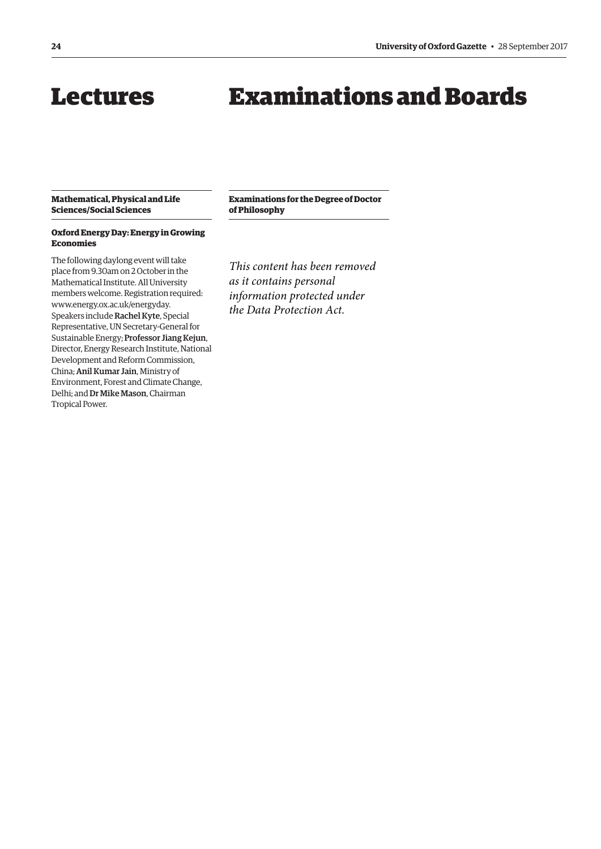# <span id="page-11-0"></span>Lectures

# Examinations and Boards

# **Mathematical, Physical and Life Sciences/Social Sciences**

# **Examinations for the Degree of Doctor of Philosophy**

# **Oxford Energy Day: Energy in Growing Economies**  The following daylong event will take

place from 9.30am on 2 October in the Mathematical Institute. All University members welcome. Registration required: [www.energy.ox.ac.uk/energyday.](http://www.energy.ox.ac.uk/energyday)  Speakers include Rachel Kyte, Special Representative, UN Secretary-General for Sustainable Energy; Professor Jiang Kejun, Director, Energy Research Institute, National Development and Reform Commission, China; Anil Kumar Jain, Ministry of Environment, Forest and Climate Change, Delhi; and Dr Mike Mason, Chairman Tropical Power.

*This content has been removed as it contains personal information protected under the Data Protection Act.*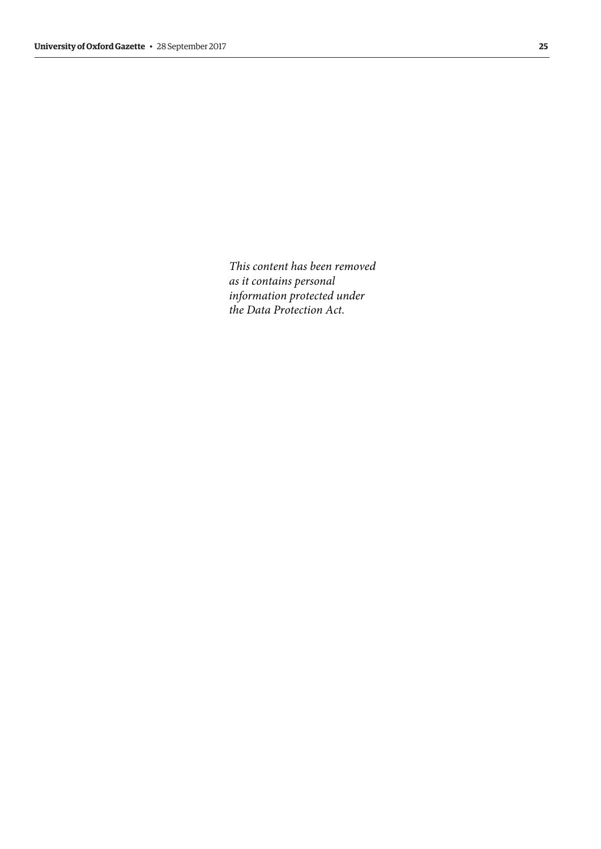*This content has been removed as it contains personal information protected under the Data Protection Act.*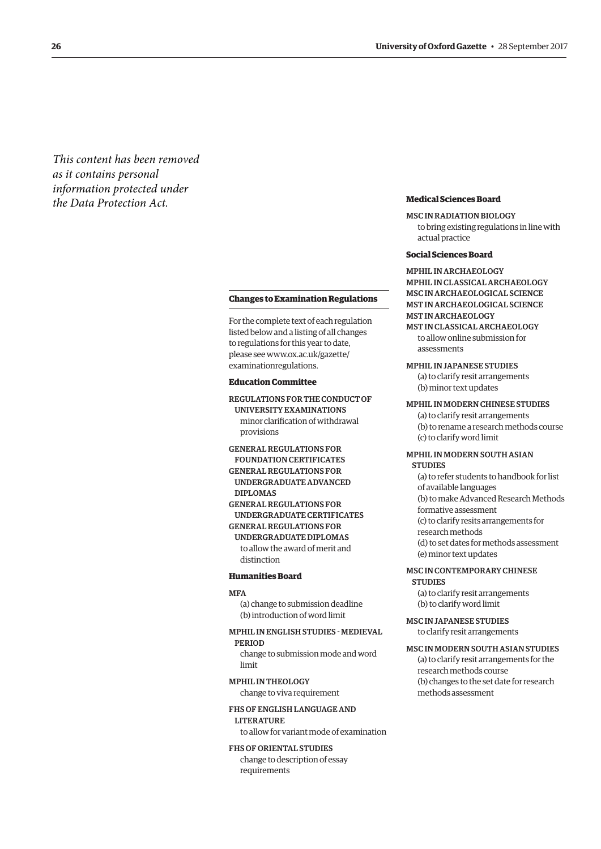<span id="page-13-0"></span>*This content has been removed as it contains personal information protected under the Data Protection Act.*

#### **Changes to Examination Regulations**

For the complete text of each regulation listed below and a listing of all changes to regulations for this year to date, [please see www.ox.ac.uk/gazette/](www.ox.ac.uk/gazette/examinationregulations)  examinationregulations.

#### **Education Committee**

REGULATIONS FOR THE CONDUCT OF UNIVERSITY EXAMINATIONS minor clarifcation of withdrawal provisions

GENERAL REGULATIONS FOR FOUNDATION CERTIFICATES GENERAL REGULATIONS FOR UNDERGRADUATE ADVANCED DIPLOMAS GENERAL REGULATIONS FOR UNDERGRADUATE CERTIFICATES

GENERAL REGULATIONS FOR UNDERGRADUATE DIPLOMAS to allow the award of merit and distinction

#### **Humanities Board**

#### **MFA**

(a) change to submission deadline (b) introduction of word limit

# MPHIL IN ENGLISH STUDIES - MEDIEVAL

PERIOD

change to submission mode and word limit

MPHIL IN THEOLOGY change to viva requirement

## FHS OF ENGLISH LANGUAGE AND LITERATURE

to allow for variant mode of examination

FHS OF ORIENTAL STUDIES change to description of essay requirements

#### **Medical Sciences Board**

MSC IN RADIATION BIOLOGY to bring existing regulations in line with actual practice

# **Social Sciences Board**

MPHIL IN ARCHAEOLOGY MPHIL IN CLASSICAL ARCHAEOLOGY MSC IN ARCHAEOLOGICAL SCIENCE MST IN ARCHAEOLOGICAL SCIENCE MST IN ARCHAEOLOGY MST IN CLASSICAL ARCHAEOLOGY

to allow online submission for assessments

MPHIL IN JAPANESE STUDIES

(a) to clarify resit arrangements (b) minor text updates

# MPHIL IN MODERN CHINESE STUDIES

(a) to clarify resit arrangements (b) to rename a research methods course (c) to clarify word limit

## MPHIL IN MODERN SOUTH ASIAN **STUDIES**

(a) to refer students to handbook for list of available languages (b) to make Advanced Research Methods formative assessment (c) to clarify resits arrangements for research methods (d) to set dates for methods assessment (e) minor text updates

# MSC IN CONTEMPORARY CHINESE

**STUDIES** (a) to clarify resit arrangements (b) to clarify word limit

MSC IN JAPANESE STUDIES to clarify resit arrangements

#### MSC IN MODERN SOUTH ASIAN STUDIES

(a) to clarify resit arrangements for the research methods course (b) changes to the set date for research methods assessment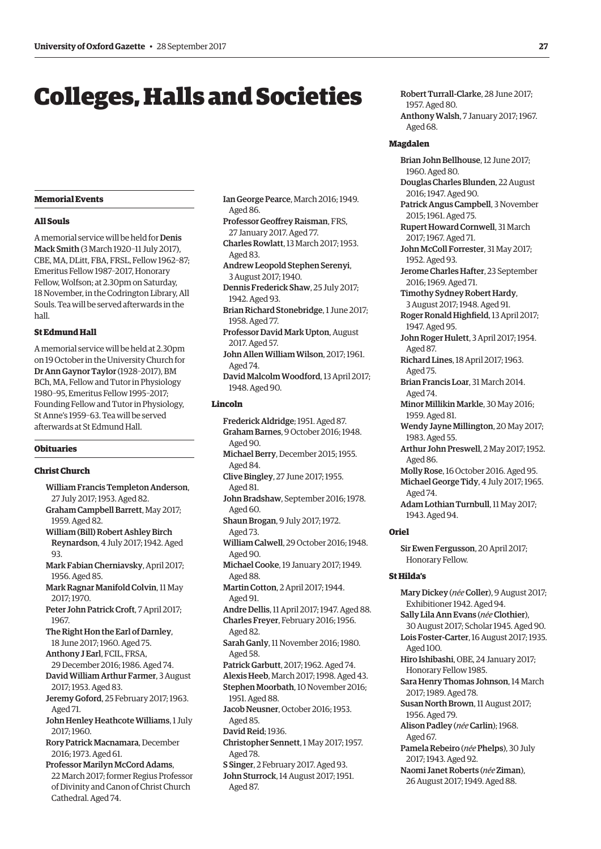# <span id="page-14-0"></span>Colleges, Halls and Societies

# **Memorial Events**

#### **All Souls**

A memorial service will be held for Denis Mack Smith (3 March 1920–11 July 2017), CBE, MA, DLitt, FBA, FRSL, Fellow 1962–87; Emeritus Fellow 1987–2017, Honorary Fellow, Wolfson; at 2.30pm on Saturday, 18 November, in the Codrington Library, All Souls. Tea will be served afterwards in the hall.

#### **St Edmund Hall**

A memorial service will be held at 2.30pm on 19 October in the University Church for Dr Ann Gaynor Taylor (1928–2017), BM BCh, MA, Fellow and Tutor in Physiology 1980–95, Emeritus Fellow 1995–2017; Founding Fellow and Tutor in Physiology, St Anne's 1959–63. Tea will be served afterwards at St Edmund Hall.

#### **Obituaries**

# **Christ Church**

William Francis Templeton Anderson, 27 July 2017; 1953. Aged 82. Graham Campbell Barrett, May 2017; 1959. Aged 82. William (Bill) Robert Ashley Birch Reynardson, 4 July 2017; 1942. Aged 93. Mark Fabian Cherniavsky, April 2017; 1956. Aged 85. Mark Ragnar Manifold Colvin, 11 May 2017; 1970. Peter John Patrick Croft, 7 April 2017; 1967. The Right Hon the Earl of Darnley, 18 June 2017; 1960. Aged 75. Anthony J Earl, FCIL, FRSA, 29 December 2016; 1986. Aged 74. David William Arthur Farmer, 3 August 2017; 1953. Aged 83. Jeremy Goford, 25 February 2017; 1963. Aged 71. John Henley Heathcote Williams, 1 July 2017; 1960. Rory Patrick Macnamara, December 2016; 1973. Aged 61. Professor Marilyn McCord Adams, 22 March 2017; former Regius Professor of Divinity and Canon of Christ Church Cathedral. Aged 74.

- Ian George Pearce, March 2016; 1949. Aged 86.
- Professor Geofrey Raisman, FRS, 27 January 2017. Aged 77. Charles Rowlatt, 13 March 2017; 1953. Aged 83.
- Andrew Leopold Stephen Serenyi, 3 August 2017; 1940.
- Dennis Frederick Shaw, 25 July 2017; 1942. Aged 93.
- Brian Richard Stonebridge, 1 June 2017; 1958. Aged 77.
- Professor David Mark Upton, August 2017. Aged 57.
- John Allen William Wilson, 2017; 1961. Aged 74.
- David Malcolm Woodford, 13 April 2017; 1948. Aged 90.

# **Lincoln**

Frederick Aldridge; 1951. Aged 87. Graham Barnes, 9 October 2016; 1948. Aged 90. Michael Berry, December 2015; 1955. Aged 84. Clive Bingley, 27 June 2017; 1955. Aged 81. John Bradshaw, September 2016; 1978. Aged 60. Shaun Brogan, 9 July 2017; 1972. Aged 73. William Calwell, 29 October 2016; 1948. Aged 90. Michael Cooke, 19 January 2017; 1949. Aged 88. Martin Cotton, 2 April 2017; 1944. Aged 91. Andre Dellis, 11 April 2017; 1947. Aged 88. Charles Freyer, February 2016; 1956. Aged 82. Sarah Ganly, 11 November 2016; 1980. Aged 58. Patrick Garbutt, 2017; 1962. Aged 74. Alexis Heeb, March 2017; 1998. Aged 43. Stephen Moorbath, 10 November 2016; 1951. Aged 88. Jacob Neusner, October 2016; 1953. Aged 85. David Reid; 1936. Christopher Sennett, 1 May 2017; 1957. Aged 78. S Singer, 2 February 2017. Aged 93. John Sturrock, 14 August 2017; 1951. Aged 87.

Robert Turrall-Clarke, 28 June 2017; 1957. Aged 80. Anthony Walsh, 7 January 2017; 1967. Aged 68.

#### **Magdalen**

 $\cdot$ Brian John Bellhouse, 12 June 2017; 1960. Aged 80. Douglas Charles Blunden, 22 August 2016; 1947. Aged 90. Patrick Angus Campbell, 3 November 2015; 1961. Aged 75. Rupert Howard Cornwell, 31 March 2017; 1967. Aged 71. John McColl Forrester, 31 May 2017; 1952. Aged 93. Jerome Charles Hafter, 23 September 2016; 1969. Aged 71. Timothy Sydney Robert Hardy, 3 August 2017; 1948. Aged 91. Roger Ronald Highfeld, 13 April 2017; 1947. Aged 95. John Roger Hulett, 3 April 2017; 1954. Aged 87. Richard Lines, 18 April 2017; 1963. Aged 75. Brian Francis Loar, 31 March 2014. Aged 74. Minor Millikin Markle, 30 May 2016; 1959. Aged 81. Wendy Jayne Millington, 20 May 2017; 1983. Aged 55. Arthur John Preswell, 2 May 2017; 1952. Aged 86. Molly Rose, 16 October 2016. Aged 95. Michael George Tidy, 4 July 2017; 1965. Aged 74. Adam Lothian Turnbull, 11 May 2017; 1943. Aged 94. **Oriel**  Sir Ewen Fergusson, 20 April 2017; Honorary Fellow. **St Hilda's**  Mary Dickey (*née* Coller), 9 August 2017; Exhibitioner 1942. Aged 94. Sally Lila Ann Evans (*née* Clothier), 30 August 2017; Scholar 1945. Aged 90. Lois Foster-Carter, 16 August 2017; 1935. Aged 100. Hiro Ishibashi, OBE, 24 January 2017; Honorary Fellow 1985.

Sara Henry Thomas Johnson, 14 March 2017; 1989. Aged 78.

- Susan North Brown, 11 August 2017; 1956. Aged 79.
- Alison Padley (*née* Carlin); 1968. Aged 67.
- Pamela Rebeiro (*née* Phelps), 30 July 2017; 1943. Aged 92.
- $\overline{\phantom{a}}$ Naomi Janet Roberts (*née* Ziman), 26 August 2017; 1949. Aged 88.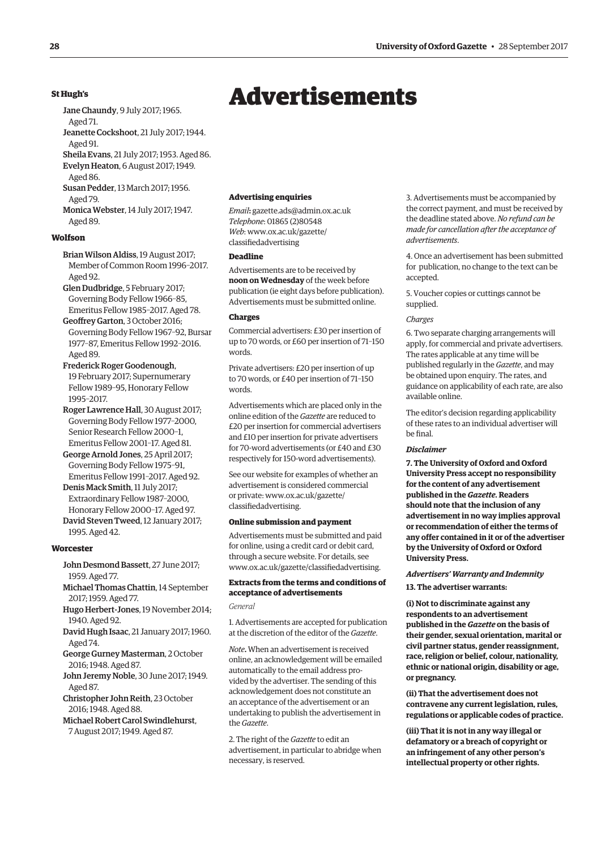# <span id="page-15-0"></span>**St Hugh's**

- Jane Chaundy, 9 July 2017; 1965.
- Aged 71.

Jeanette Cockshoot, 21 July 2017; 1944. Aged 91.

Sheila Evans, 21 July 2017; 1953. Aged 86. Evelyn Heaton, 6 August 2017; 1949.

Aged 86.

Susan Pedder, 13 March 2017; 1956. Aged 79.

Monica Webster, 14 July 2017; 1947. Aged 89.

# **Wolfson**

Brian Wilson Aldiss, 19 August 2017; Member of Common Room 1996–2017. Aged 92.

Glen Dudbridge, 5 February 2017; Governing Body Fellow 1966–85, Emeritus Fellow 1985–2017. Aged 78.

Geofrey Garton, 3 October 2016; Governing Body Fellow 1967–92, Bursar 1977–87, Emeritus Fellow 1992–2016. Aged 89.

Frederick Roger Goodenough, 19 February 2017; Supernumerary Fellow 1989–95, Honorary Fellow 1995–2017.

Roger Lawrence Hall, 30 August 2017; Governing Body Fellow 1977–2000, Senior Research Fellow 2000–1, Emeritus Fellow 2001–17. Aged 81.

George Arnold Jones, 25 April 2017; Governing Body Fellow 1975–91, Emeritus Fellow 1991–2017. Aged 92.

Denis Mack Smith, 11 July 2017; Extraordinary Fellow 1987–2000, Honorary Fellow 2000–17. Aged 97.

David Steven Tweed, 12 January 2017; 1995. Aged 42.

## **Worcester**

John Desmond Bassett, 27 June 2017; 1959. Aged 77.

Michael Thomas Chattin, 14 September 2017; 1959. Aged 77.

Hugo Herbert-Jones, 19 November 2014; 1940. Aged 92.

David Hugh Isaac, 21 January 2017; 1960. Aged 74.

George Gurney Masterman, 2 October 2016; 1948. Aged 87.

John Jeremy Noble, 30 June 2017; 1949. Aged 87.

Christopher John Reith, 23 October 2016; 1948. Aged 88.

Michael Robert Carol Swindlehurst, 7 August 2017; 1949. Aged 87.

# Advertisements

**Advertising enquiries** 

*Email***:** [gazette.ads@admin.ox.ac.uk](mailto:gazette.ads@admin.ox.ac.uk)  *Telephone*: 01865 (2)80548 *Web*[: www.ox.ac.uk/gazette/](www.ox.ac.uk/gazette/classifiedadvertising)  classifedadvertising

# **Deadline**

Advertisements are to be received by **noon on Wednesday** of the week before publication (ie eight days before publication). Advertisements must be submitted online.

#### **Charges**

Commercial advertisers: £30 per insertion of up to 70 words, or £60 per insertion of 71–150 words.

Private advertisers: £20 per insertion of up to 70 words, or £40 per insertion of 71–150 words.

Advertisements which are placed only in the online edition of the *Gazette* are reduced to £20 per insertion for commercial advertisers and £10 per insertion for private advertisers for 70-word advertisements (or £40 and £30 respectively for 150-word advertisements).

See our website for examples of whether an advertisement is considered commercial [or private: www.ox.ac.uk/gazette/](www.ox.ac.uk/gazette/classifiedadvertising)  classifedadvertising.

#### **Online submission and payment**

Advertisements must be submitted and paid for online, using a credit card or debit card, through a secure website. For details, see [www.ox.ac.uk/gazette/classifedadvertising.](http://www.ox.ac.uk/gazette/classifiedadvertising) 

# **Extracts from the terms and conditions of acceptance of advertisements**

*General* 

1. Advertisements are accepted for publication at the discretion of the editor of the *Gazette*.

*Note***.** When an advertisement is received online, an acknowledgement will be emailed automatically to the email address provided by the advertiser. The sending of this acknowledgement does not constitute an an acceptance of the advertisement or an undertaking to publish the advertisement in the *Gazette*.

2. The right of the *Gazette* to edit an advertisement, in particular to abridge when necessary, is reserved.

3. Advertisements must be accompanied by the correct payment, and must be received by the deadline stated above. *No refund can be made for cancellation after the acceptance of advertisements*.

4. Once an advertisement has been submitted for publication, no change to the text can be accepted.

5. Voucher copies or cuttings cannot be supplied.

#### *Charges*

6. Two separate charging arrangements will apply, for commercial and private advertisers. The rates applicable at any time will be published regularly in the *Gazette*, and may be obtained upon enquiry. The rates, and guidance on applicability of each rate, are also available online.

The editor's decision regarding applicability of these rates to an individual advertiser will be fnal.

#### *Disclaimer*

**7. The University of Oxford and Oxford University Press accept no responsibility for the content of any advertisement published in the** *Gazette***. Readers should note that the inclusion of any advertisement in no way implies approval or recommendation of either the terms of any offer contained in it or of the advertiser by the University of Oxford or Oxford University Press.** 

#### *Advertisers' Warranty and Indemnity*

**13. The advertiser warrants:** 

**(i) Not to discriminate against any respondents to an advertisement published in the** *Gazette* **on the basis of their gender, sexual orientation, marital or civil partner status, gender reassignment, race, religion or belief, colour, nationality, ethnic or national origin, disability or age, or pregnancy.** 

**(ii) That the advertisement does not contravene any current legislation, rules, regulations or applicable codes of practice.** 

**(iii) That it is not in any way illegal or defamatory or a breach of copyright or an infringement of any other person's intellectual property or other rights.**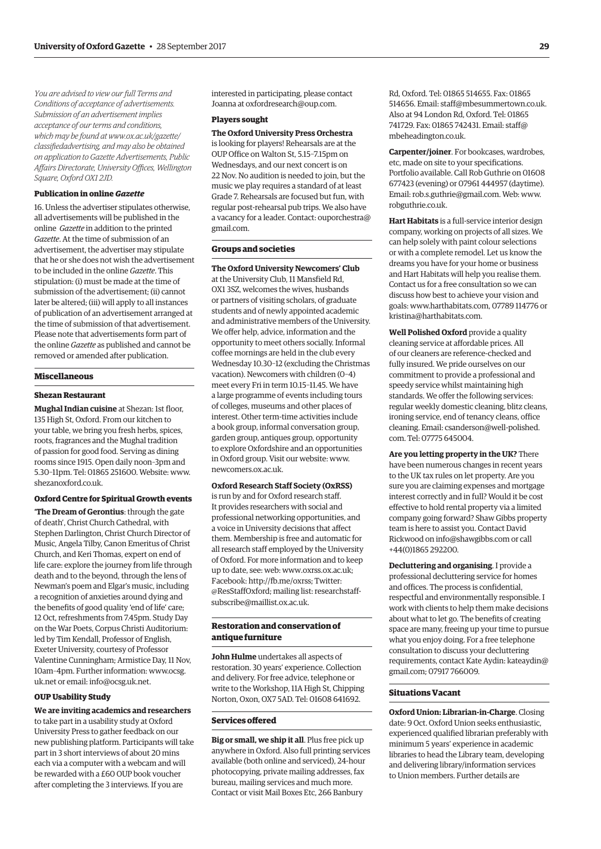*You are advised to view our full Terms and Conditions of acceptance of advertisements. Submission of an advertisement implies acceptance of our terms and conditions, which may be found at www.ox.ac.uk/gazette/ [classifedadvertising, and may also be obtained](www.ox.ac.uk/gazette/classifiedadvertising)  on application to Gazette Advertisements, Public Affairs Directorate, University Offces, Wellington Square, Oxford OX1 2JD.* 

#### **Publication in online** *Gazette*

16. Unless the advertiser stipulates otherwise, all advertisements will be published in the online *Gazette* in addition to the printed *Gazette*. At the time of submission of an advertisement, the advertiser may stipulate that he or she does not wish the advertisement to be included in the online *Gazette*. This stipulation: (i) must be made at the time of submission of the advertisement; (ii) cannot later be altered; (iii) will apply to all instances of publication of an advertisement arranged at the time of submission of that advertisement. Please note that advertisements form part of the online *Gazette* as published and cannot be removed or amended after publication.

#### **Miscellaneous**

#### **Shezan Restaurant**

**Mughal Indian cuisine** at Shezan: 1st floor, 135 High St, Oxford. From our kitchen to your table, we bring you fresh herbs, spices, roots, fragrances and the Mughal tradition of passion for good food. Serving as dining rooms since 1915. Open daily noon–3pm and 5.30–11pm. Tel: 01865 251600. Website: [www.](http://www.shezanoxford.co.uk)  [shezanoxford.co.uk.](http://www.shezanoxford.co.uk) 

#### **Oxford Centre for Spiritual Growth events**

**'The Dream of Gerontius**: through the gate of death', Christ Church Cathedral, with Stephen Darlington, Christ Church Director of Music, Angela Tilby, Canon Emeritus of Christ Church, and Keri Thomas, expert on end of life care: explore the journey from life through death and to the beyond, through the lens of Newman's poem and Elgar's music, including a recognition of anxieties around dying and the benefits of good quality 'end of life' care; 12 Oct, refreshments from 7.45pm. Study Day on the War Poets, Corpus Christi Auditorium: led by Tim Kendall, Professor of English, Exeter University, courtesy of Professor Valentine Cunningham; Armistice Day, 11 Nov, 10am–4pm. Further informati[on: www.ocsg.](www.oscsg.uk.net)  uk.net or email: [info@ocsg.uk.net.](mailto:info@ocsg.uk.net) 

#### **OUP Usability Study**

**We are inviting academics and researchers**  to take part in a usability study at Oxford University Press to gather feedback on our new publishing platform. Participants will take part in 3 short interviews of about 20 mins each via a computer with a webcam and will be rewarded with a £60 OUP book voucher after completing the 3 interviews. If you are

interested in participating, please contact Joanna at [oxfordresearch@oup.com.](mailto:oxfordresearch@oup.com) 

#### **Players sought**

**The Oxford University Press Orchestra**  is looking for players! Rehearsals are at the OUP Office on Walton St, 5.15–7.15pm on Wednesdays, and our next concert is on 22 Nov. No audition is needed to join, but the music we play requires a standard of at least Grade 7. Rehearsals are focused but fun, with regular post-rehearsal pub trips. We also have [a vacancy for a leader. Contact: ouporchestra@](mailto:ouporchestra@gmail.com)  gmail.com.

# **Groups and societies**

**The Oxford University Newcomers' Club**  at the University Club, 11 Mansfield Rd, OX1 3SZ, welcomes the wives, husbands or partners of visiting scholars, of graduate students and of newly appointed academic and administrative members of the University. We offer help, advice, information and the opportunity to meet others socially. Informal coffee mornings are held in the club every Wednesday 10.30–12 (excluding the Christmas vacation). Newcomers with children (0–4) meet every Fri in term 10.15–11.45. We have a large programme of events including tours of colleges, museums and other places of interest. Other term-time activities include a book group, informal conversation group, garden group, antiques group, opportunity to explore Oxfordshire and an opportunities in Oxford group. Visit our website: [www.](http://www.newcomers.ox.ac.uk)  [newcomers.ox.ac.uk.](http://www.newcomers.ox.ac.uk) 

# **Oxford Research Staff Society (OxRSS)**

is run by and for Oxford research staff. It provides researchers with social and professional networking opportunities, and a voice in University decisions that affect them. Membership is free and automatic for all research staff employed by the University of Oxford. For more information and to keep up to date, see: web: [www.oxrss.ox.ac.uk;](http://www.oxrss.ox.ac.uk)  Facebook: [http://fb.me/oxrss; Tw](http://fb.me/oxrss)itter: @[ResStaffOxford](https://twitter.com/resstaffoxford); mailing lis[t: researchstaff](mailto:researchstaff-subscribe@maillist.ox.ac.uk)[subscribe@maillist.ox.ac.uk.](mailto:researchstaff-subscribe@maillist.ox.ac.uk) 

# **Restoration and conservation of antique furniture**

**John Hulme** undertakes all aspects of restoration. 30 years' experience. Collection and delivery. For free advice, telephone or write to the Workshop, 11A High St, Chipping Norton, Oxon, OX7 5AD. Tel: 01608 641692.

# **Services ofered**

**Big or small, we ship it all**. Plus free pick up anywhere in Oxford. Also full printing services available (both online and serviced), 24-hour photocopying, private mailing addresses, fax bureau, mailing services and much more. Contact or visit Mail Boxes Etc, 266 Banbury

Rd, Oxford. Tel: 01865 514655. Fax: 01865 514656. Email: [staff@mbesummertown.co.uk.](mailto:staff@mbesummertown.co.uk)  Also at 94 London Rd, Oxford. Tel: 01865 [741729. Fax: 01865 742431. Email: staff@](mailto:staff@mbeheadington.co.uk)  mbeheadington.co.uk.

**Carpenter/joiner**. For bookcases, wardrobes, etc, made on site to your specifications. Portfolio available. Call Rob Guthrie on 01608 677423 (evening) or 07961 444957 (daytime). Email: [rob.s.guthrie@gmail.com. W](mailto:rob.s.guthrie@gmail.com)eb: [www.](http://www.robguthrie.co.uk)  [robguthrie.co.uk.](http://www.robguthrie.co.uk) 

**Hart Habitats** is a full-service interior design company, working on projects of all sizes. We can help solely with paint colour selections or with a complete remodel. Let us know the dreams you have for your home or business and Hart Habitats will help you realise them. Contact us for a free consultation so we can discuss how best to achieve your vision and goals: [www.harthabitats.com, 07](http://www.harthabitats.com)789 114776 or [kristina@harthabitats.com.](mailto:kristina@harthabitats.com) 

**Well Polished Oxford** provide a quality cleaning service at affordable prices. All of our cleaners are reference-checked and fully insured. We pride ourselves on our commitment to provide a professional and speedy service whilst maintaining high standards. We offer the following services: regular weekly domestic cleaning, blitz cleans, ironing service, end of tenancy cleans, office [cleaning. Email: csanderson@well-polished.](mailto:csanderson@well-polished.com)  com. Tel: 07775 645004.

**Are you letting property in the UK?** There have been numerous changes in recent years to the UK tax rules on let property. Are you sure you are claiming expenses and mortgage interest correctly and in full? Would it be cost effective to hold rental property via a limited company going forward? Shaw Gibbs property team is here to assist you. Contact David Rickwood on [info@shawgibbs.com or](mailto:info@shawgibbs.com) call +44(0)1865 292200.

**Decluttering and organising**. I provide a professional decluttering service for homes and offices. The process is confidential, respectful and environmentally responsible. I work with clients to help them make decisions about what to let go. The benefits of creating space are many, freeing up your time to pursue what you enjoy doing. For a free telephone consultation to discuss your decluttering [requirements, contact Kate Aydin: kateaydin@](mailto:kateaydin@gmail.com)  gmail.com; 07917 766009.

#### **Situations Vacant**

**Oxford Union: Librarian-in-Charge**. Closing date: 9 Oct. Oxford Union seeks enthusiastic, experienced qualified librarian preferably with minimum 5 years' experience in academic libraries to head the Library team, developing and delivering library/information services to Union members. Further details are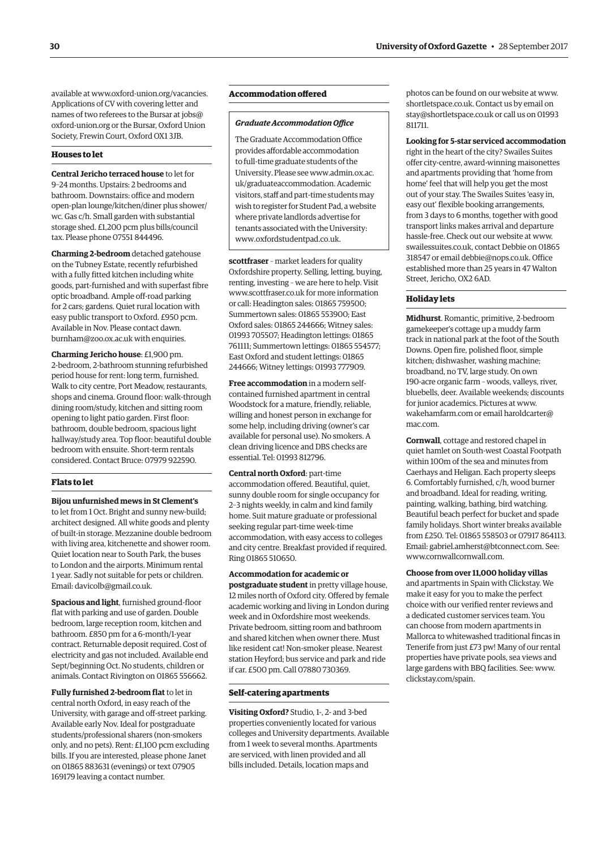available at [www.oxford-union.org/vacancies.](http://www.oxford-union.org/vacancies)  Applications of CV with covering letter and names of two referees to the Bursar at jobs@ [oxford-union.org or the Bursar, Oxford Union](mailto:jobs@oxford-union.org)  Society, Frewin Court, Oxford OX1 3JB.

#### **Houses to let**

**Central Jericho terraced house** to let for 9–24 months. Upstairs: 2 bedrooms and bathroom. Downstairs: office and modern open-plan lounge/kitchen/diner plus shower/ wc. Gas c/h. Small garden with substantial storage shed. £1,200 pcm plus bills/council tax. Please phone 07551 844496.

**Charming 2-bedroom** detached gatehouse on the Tubney Estate, recently refurbished with a fully fitted kitchen including white goods, part-furnished and with superfast fibre optic broadband. Ample off-road parking for 2 cars; gardens. Quiet rural location with easy public transport to Oxford. £950 pcm. Available in Nov. Please contact dawn. [burnham@zoo.ox.ac.uk with enquiries.](mailto:dawn.burnham@zoo.ox.ac.uk) 

**Charming Jericho house**: £1,900 pm. 2-bedroom, 2-bathroom stunning refurbished period house for rent: long term, furnished. Walk to city centre, Port Meadow, restaurants, shops and cinema. Ground floor: walk-through dining room/study, kitchen and sitting room opening to light patio garden. First floor: bathroom, double bedroom, spacious light hallway/study area. Top floor: beautiful double bedroom with ensuite. Short-term rentals considered. Contact Bruce: 07979 922590.

#### **Flats to let**

**Bijou unfurnished mews in St Clement's**  to let from 1 Oct. Bright and sunny new-build; architect designed. All white goods and plenty of built-in storage. Mezzanine double bedroom with living area, kitchenette and shower room. Quiet location near to South Park, the buses to London and the airports. Minimum rental 1 year. Sadly not suitable for pets or children. Email: [davicolb@gmail.co.uk.](mailto:davicolb@gmail.co.uk) 

**Spacious and light**, furnished ground-floor flat with parking and use of garden. Double bedroom, large reception room, kitchen and bathroom. £850 pm for a 6-month/1-year contract. Returnable deposit required. Cost of electricity and gas not included. Available end Sept/beginning Oct. No students, children or animals. Contact Rivington on 01865 556662.

**Fully furnished 2-bedroom flat** to let in central north Oxford, in easy reach of the University, with garage and off-street parking. Available early Nov. Ideal for postgraduate students/professional sharers (non-smokers only, and no pets). Rent: £1,100 pcm excluding bills. If you are interested, please phone Janet on 01865 883631 (evenings) or text 07905 169179 leaving a contact number.

# **Accommodation ofered**

#### **Graduate Accommodation Office**

The Graduate Accommodation Office provides afordable accommodation to full-time graduate students of the [University. Please see www.admin.ox.ac.](www.admin.ox.ac.uk/graduateaccommodation)  uk/graduateaccommodation. Academic visitors, staff and part-time students may wish to register for Student Pad, a website where private landlords advertise for tenants associated with the University: [www.oxfordstudentpad.co.uk.](http://www.oxfordstudentpad.co.uk) 

**scottfraser** – market leaders for quality Oxfordshire property. Selling, letting, buying, renting, investing – we are here to help. Visit [www.scottfraser.co.uk fo](http://www.scottfraser.co.uk)r more information or call: Headington sales: 01865 759500; Summertown sales: 01865 553900; East Oxford sales: 01865 244666; Witney sales: 01993 705507; Headington lettings: 01865 761111; Summertown lettings: 01865 554577; East Oxford and student lettings: 01865 244666; Witney lettings: 01993 777909.

**Free accommodation** in a modern selfcontained furnished apartment in central Woodstock for a mature, friendly, reliable, willing and honest person in exchange for some help, including driving (owner's car available for personal use). No smokers. A clean driving licence and DBS checks are essential. Tel: 01993 812796.

**Central north Oxford**: part-time accommodation offered. Beautiful, quiet, sunny double room for single occupancy for 2–3 nights weekly, in calm and kind family home. Suit mature graduate or professional seeking regular part-time week-time accommodation, with easy access to colleges and city centre. Breakfast provided if required. Ring 01865 510650.

**Accommodation for academic or postgraduate student** in pretty village house, 12 miles north of Oxford city. Offered by female academic working and living in London during week and in Oxfordshire most weekends. Private bedroom, sitting room and bathroom and shared kitchen when owner there. Must like resident cat! Non-smoker please. Nearest station Heyford; bus service and park and ride if car. £500 pm. Call 07880 730369.

#### **Self-catering apartments**

**Visiting Oxford?** Studio, 1-, 2- and 3-bed properties conveniently located for various colleges and University departments. Available from 1 week to several months. Apartments are serviced, with linen provided and all bills included. Details, location maps and

photos can be found on our website at [www.](http://www.shortletspace.co.uk)  [shortletspace.co.uk. Co](http://www.shortletspace.co.uk)ntact us by email on [stay@shortletspace.co.uk or](mailto:stay@shortletspace.co.uk) call us on 01993 811711.

**Looking for 5-star serviced accommodation**  right in the heart of the city? Swailes Suites offer city-centre, award-winning maisonettes and apartments providing that 'home from home' feel that will help you get the most out of your stay. The Swailes Suites 'easy in, easy out' flexible booking arrangements, from 3 days to 6 months, together with good transport links makes arrival and departure hassle-free. Check out our website at [www.](http://www.swailessuites.co.uk)  [swailessuites.co.uk, co](http://www.swailessuites.co.uk)ntact Debbie on 01865 318547 or email [debbie@nops.co.uk. Of](mailto:debbie@nops.co.uk)fice established more than 25 years in 47 Walton Street, Jericho, OX2 6AD.

#### **Holiday lets**

**Midhurst**. Romantic, primitive, 2-bedroom gamekeeper's cottage up a muddy farm track in national park at the foot of the South Downs. Open fire, polished floor, simple kitchen; dishwasher, washing machine; broadband, no TV, large study. On own 190-acre organic farm – woods, valleys, river, bluebells, deer. Available weekends; discounts for junior academics. Pictures at [www.](http://www.wakehamfarm.com)  [wakehamfarm.com or](http://www.wakehamfarm.com) e[mail haroldcarter@](mailto:haroldcarter@mac.com)  mac.com.

**Cornwall**, cottage and restored chapel in quiet hamlet on South-west Coastal Footpath within 100m of the sea and minutes from Caerhays and Heligan. Each property sleeps 6. Comfortably furnished, c/h, wood burner and broadband. Ideal for reading, writing, painting, walking, bathing, bird watching. Beautiful beach perfect for bucket and spade family holidays. Short winter breaks available from £250. Tel: 01865 558503 or 07917 864113. Email: [gabriel.amherst@btconnect.com. Se](mailto:gabriel.amherst@btconnect.com)e: [www.cornwallcornwall.com.](http://www.cornwallcornwall.com) 

#### **Choose from over 11,000 holiday villas**

and apartments in Spain with Clickstay. We make it easy for you to make the perfect choice with our verified renter reviews and a dedicated customer services team. You can choose from modern apartments in Mallorca to whitewashed traditional fincas in Tenerife from just £73 pw! Many of our rental properties have private pools, sea views and large gardens with BBQ facilities. See: [www.](http://www.clickstay.com/spain)  [clickstay.com/spain.](http://www.clickstay.com/spain)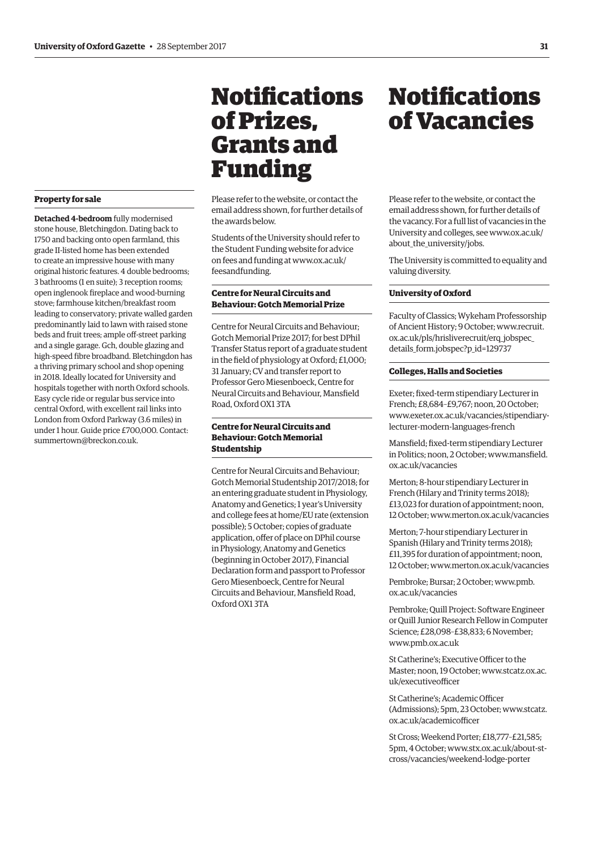# <span id="page-18-0"></span>**Property for sale**

**Detached 4-bedroom** fully modernised stone house, Bletchingdon. Dating back to 1750 and backing onto open farmland, this grade II-listed home has been extended to create an impressive house with many original historic features. 4 double bedrooms; 3 bathrooms (1 en suite); 3 reception rooms; open inglenook fireplace and wood-burning stove; farmhouse kitchen/breakfast room leading to conservatory; private walled garden predominantly laid to lawn with raised stone beds and fruit trees; ample off-street parking and a single garage. Gch, double glazing and high-speed fibre broadband. Bletchingdon has a thriving primary school and shop opening in 2018. Ideally located for University and hospitals together with north Oxford schools. Easy cycle ride or regular bus service into central Oxford, with excellent rail links into London from Oxford Parkway (3.6 miles) in under 1 hour. Guide price £700,000. Contact: [summertown@breckon.co.uk.](mailto:summertown@breckon.co.uk) 

# **Notifications** of Prizes, Grants and Funding

Please refer to the website, or contact the email address shown, for further details of the awards below.

Students of the University should refer to the Student Funding website for advice [on fees and funding at www.ox.ac.uk/](www.ox.ac.uk/feesandfunding)  feesandfunding.

# **Centre for Neural Circuits and Behaviour: Gotch Memorial Prize**

Centre for Neural Circuits and Behaviour; Gotch Memorial Prize 2017; for best DPhil Transfer Status report of a graduate student in the feld of physiology at Oxford; £1,000; 31 January; CV and transfer report to Professor Gero Miesenboeck, Centre for Neural Circuits and Behaviour, Mansfeld Road, Oxford OX1 3TA

# **Centre for Neural Circuits and Behaviour: Gotch Memorial Studentship**

Centre for Neural Circuits and Behaviour; Gotch Memorial Studentship 2017/2018; for an entering graduate student in Physiology, Anatomy and Genetics; 1 year's University and college fees at home/EU rate (extension possible); 5 October; copies of graduate application, offer of place on DPhil course in Physiology, Anatomy and Genetics (beginning in October 2017), Financial Declaration form and passport to Professor Gero Miesenboeck, Centre for Neural Circuits and Behaviour, Mansfeld Road, Oxford OX1 3TA

# **Notifications** of Vacancies

Please refer to the website, or contact the email address shown, for further details of the vacancy. For a full list of vacancies in the [University and colleges, see www.ox.ac.uk/](www.ox.ac.uk/about_the_university/jobs)  about the university/jobs.

The University is committed to equality and valuing diversity.

#### **University of Oxford**

Faculty of Classics; Wykeham Professorship of Ancient History; 9 October; www.recruit. [ox.ac.uk/pls/hrisliverecruit/erq\\_jobspec\\_](www.recruit.ox.ac.uk/pls/hrisliverrecruit/erq_jobspec_details_form.jobspec?p_id=129737)  details\_form.jobspec?p\_id=129737

# **Colleges, Halls and Societies**

Exeter; fxed-term stipendiary Lecturer in French; £8,684–£9,767; noon, 20 October; [www.exeter.ox.ac.uk/vacancies/stipendiary](www.exeter.ox.ac.uk/vacancies/stipendiary-lecturer-modern-languages-french)lecturer-modern-languages-french

Mansfeld; fxed-term stipendiary Lecturer [in Politics; noon, 2 October; www.mansfeld.](www.mansfield.ox.ac.uk/vacancies)  ox.ac.uk/vacancies

Merton; 8-hour stipendiary Lecturer in French (Hilary and Trinity terms 2018); £13,023 for duration of appointment; noon, 12 October; [www.merton.ox.ac.uk/vacancies](http://www.merton.ox.ac.uk/vacancies) 

Merton; 7-hour stipendiary Lecturer in Spanish (Hilary and Trinity terms 2018); £11,395 for duration of appointment; noon, 12 October; [www.merton.ox.ac.uk/vacancies](http://www.merton.ox.ac.uk/vacancies) 

[Pembroke; Bursar; 2 October; www.pmb.](www.pmb.ox.ac.uk/vacancies)  ox.ac.uk/vacancies

Pembroke; Quill Project: Software Engineer or Quill Junior Research Fellow in Computer Science; £28,098–£38,833; 6 November; [www.pmb.ox.ac.uk](http://www.pmb.ox.ac.uk) 

St Catherine's: Executive Officer to the [Master; noon, 19 October; www.stcatz.ox.ac.](www.stcatz.ox.ac.uk/executiveofficer)  uk/executiveofficer

St Catherine's; Academic Officer [\(Admissions\); 5pm, 23 October; www.stcatz.](www.stcatz.ox.ac.uk/academicofficer)  ox.ac.uk/academicofficer

St Cross; Weekend Porter; £18,777–£21,585; [5pm, 4 October; www.stx.ox.ac.uk/about-st](www.stx.ox.ac.uk/about-st-cross/vacancies/weekend-lodge-porter)cross/vacancies/weekend-lodge-porter